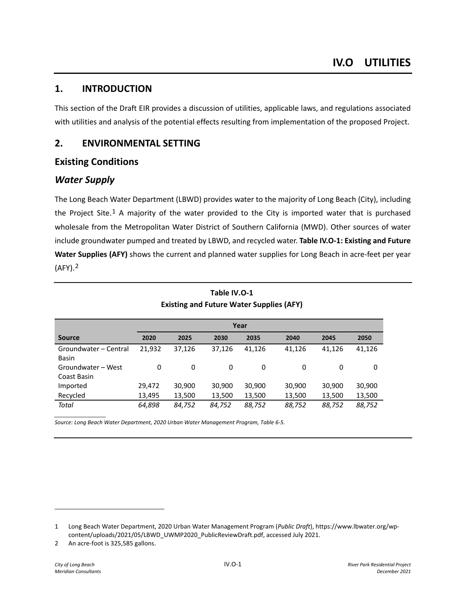# **1. INTRODUCTION**

This section of the Draft EIR provides a discussion of utilities, applicable laws, and regulations associated with utilities and analysis of the potential effects resulting from implementation of the proposed Project.

# **2. ENVIRONMENTAL SETTING**

# **Existing Conditions**

# *Water Supply*

The Long Beach Water Department (LBWD) provides water to the majority of Long Beach (City), including the Project Site.<sup>[1](#page-0-0)</sup> A majority of the water provided to the City is imported water that is purchased wholesale from the Metropolitan Water District of Southern California (MWD). Other sources of water include groundwater pumped and treated by LBWD, and recycled water. **Table IV.O-1: Existing and Future Water Supplies (AFY)** shows the current and planned water supplies for Long Beach in acre-feet per year (AFY).[2](#page-0-1)

|                                       | Year   |        |        |        |        |        |        |
|---------------------------------------|--------|--------|--------|--------|--------|--------|--------|
| <b>Source</b>                         | 2020   | 2025   | 2030   | 2035   | 2040   | 2045   | 2050   |
| Groundwater - Central<br><b>Basin</b> | 21,932 | 37,126 | 37,126 | 41,126 | 41,126 | 41,126 | 41,126 |
| Groundwater - West<br>Coast Basin     | 0      | 0      | 0      | 0      | 0      | 0      | 0      |
| Imported                              | 29,472 | 30,900 | 30,900 | 30,900 | 30,900 | 30,900 | 30,900 |
| Recycled                              | 13,495 | 13,500 | 13,500 | 13,500 | 13,500 | 13,500 | 13,500 |
| Total                                 | 64,898 | 84,752 | 84,752 | 88,752 | 88,752 | 88,752 | 88,752 |

# **Table IV.O-1 Existing and Future Water Supplies (AFY)**

*Source: Long Beach Water Department, 2020 Urban Water Management Program, Table 6-5.* 

*\_\_\_\_\_\_\_\_\_\_\_\_\_\_\_\_\_*

<span id="page-0-0"></span><sup>1</sup> Long Beach Water Department, 2020 Urban Water Management Program (*Public Draft*), https://www.lbwater.org/wpcontent/uploads/2021/05/LBWD\_UWMP2020\_PublicReviewDraft.pdf, accessed July 2021.

<span id="page-0-1"></span><sup>2</sup> An acre-foot is 325,585 gallons.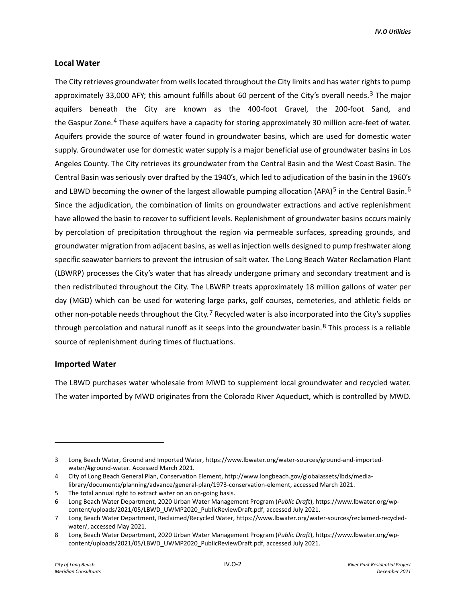### **Local Water**

The City retrieves groundwater from wells located throughout the City limits and has water rights to pump approximately [3](#page-1-0)3,000 AFY; this amount fulfills about 60 percent of the City's overall needs.<sup>3</sup> The major aquifers beneath the City are known as the 400-foot Gravel, the 200-foot Sand, and the Gaspur Zone.<sup>[4](#page-1-1)</sup> These aquifers have a capacity for storing approximately 30 million acre-feet of water. Aquifers provide the source of water found in groundwater basins, which are used for domestic water supply. Groundwater use for domestic water supply is a major beneficial use of groundwater basins in Los Angeles County. The City retrieves its groundwater from the Central Basin and the West Coast Basin. The Central Basin was seriously over drafted by the 1940's, which led to adjudication of the basin in the 1960's and LBWD becoming the owner of the largest allowable pumping allocation (APA)<sup>[5](#page-1-2)</sup> in the Central Basin.<sup>[6](#page-1-3)</sup> Since the adjudication, the combination of limits on groundwater extractions and active replenishment have allowed the basin to recover to sufficient levels. Replenishment of groundwater basins occurs mainly by percolation of precipitation throughout the region via permeable surfaces, spreading grounds, and groundwater migration from adjacent basins, as well as injection wells designed to pump freshwater along specific seawater barriers to prevent the intrusion of salt water. The Long Beach Water Reclamation Plant (LBWRP) processes the City's water that has already undergone primary and secondary treatment and is then redistributed throughout the City. The LBWRP treats approximately 18 million gallons of water per day (MGD) which can be used for watering large parks, golf courses, cemeteries, and athletic fields or other non-potable needs throughout the City.<sup>[7](#page-1-4)</sup> Recycled water is also incorporated into the City's supplies through percolation and natural runoff as it seeps into the groundwater basin.<sup>[8](#page-1-5)</sup> This process is a reliable source of replenishment during times of fluctuations.

### **Imported Water**

The LBWD purchases water wholesale from MWD to supplement local groundwater and recycled water. The water imported by MWD originates from the Colorado River Aqueduct, which is controlled by MWD.

<span id="page-1-0"></span><sup>3</sup> Long Beach Water, Ground and Imported Water, https://www.lbwater.org/water-sources/ground-and-importedwater/#ground-water. Accessed March 2021.

<span id="page-1-1"></span><sup>4</sup> City of Long Beach General Plan, Conservation Element, http://www.longbeach.gov/globalassets/lbds/medialibrary/documents/planning/advance/general-plan/1973-conservation-element, accessed March 2021.

<span id="page-1-2"></span><sup>5</sup> The total annual right to extract water on an on-going basis.

<span id="page-1-3"></span><sup>6</sup> Long Beach Water Department, 2020 Urban Water Management Program (*Public Draft*), https://www.lbwater.org/wpcontent/uploads/2021/05/LBWD\_UWMP2020\_PublicReviewDraft.pdf, accessed July 2021.

<span id="page-1-4"></span><sup>7</sup> Long Beach Water Department, Reclaimed/Recycled Water, https://www.lbwater.org/water-sources/reclaimed-recycledwater/, accessed May 2021.

<span id="page-1-5"></span><sup>8</sup> Long Beach Water Department, 2020 Urban Water Management Program (*Public Draft*), https://www.lbwater.org/wpcontent/uploads/2021/05/LBWD\_UWMP2020\_PublicReviewDraft.pdf, accessed July 2021.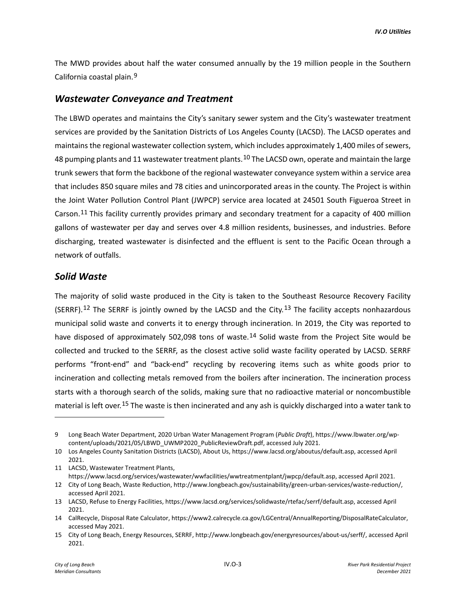The MWD provides about half the water consumed annually by the 19 million people in the Southern California coastal plain.[9](#page-2-0)

## *Wastewater Conveyance and Treatment*

The LBWD operates and maintains the City's sanitary sewer system and the City's wastewater treatment services are provided by the Sanitation Districts of Los Angeles County (LACSD). The LACSD operates and maintains the regional wastewater collection system, which includes approximately 1,400 miles of sewers, 48 pumping plants and 11 wastewater treatment plants.<sup>[10](#page-2-1)</sup> The LACSD own, operate and maintain the large trunk sewers that form the backbone of the regional wastewater conveyance system within a service area that includes 850 square miles and 78 cities and unincorporated areas in the county. The Project is within the Joint Water Pollution Control Plant (JWPCP) service area located at 24501 South Figueroa Street in Carson.[11](#page-2-2) This facility currently provides primary and secondary treatment for a capacity of 400 million gallons of wastewater per day and serves over 4.8 million residents, businesses, and industries. Before discharging, treated wastewater is disinfected and the effluent is sent to the Pacific Ocean through a network of outfalls.

# *Solid Waste*

The majority of solid waste produced in the City is taken to the Southeast Resource Recovery Facility (SERRF).<sup>[12](#page-2-3)</sup> The SERRF is jointly owned by the LACSD and the City.<sup>[13](#page-2-4)</sup> The facility accepts nonhazardous municipal solid waste and converts it to energy through incineration. In 2019, the City was reported to have disposed of approximately 502,098 tons of waste.<sup>[14](#page-2-5)</sup> Solid waste from the Project Site would be collected and trucked to the SERRF, as the closest active solid waste facility operated by LACSD. SERRF performs "front-end" and "back-end" recycling by recovering items such as white goods prior to incineration and collecting metals removed from the boilers after incineration. The incineration process starts with a thorough search of the solids, making sure that no radioactive material or noncombustible material is left over.[15](#page-2-6) The waste is then incinerated and any ash is quickly discharged into a water tank to

<span id="page-2-0"></span><sup>9</sup> Long Beach Water Department, 2020 Urban Water Management Program (*Public Draft*), https://www.lbwater.org/wpcontent/uploads/2021/05/LBWD\_UWMP2020\_PublicReviewDraft.pdf, accessed July 2021.

<span id="page-2-1"></span><sup>10</sup> Los Angeles County Sanitation Districts (LACSD), About Us, https://www.lacsd.org/aboutus/default.asp, accessed April 2021.

<span id="page-2-2"></span><sup>11</sup> LACSD, Wastewater Treatment Plants,

https://www.lacsd.org/services/wastewater/wwfacilities/wwtreatmentplant/jwpcp/default.asp, accessed April 2021.

<span id="page-2-3"></span><sup>12</sup> City of Long Beach, Waste Reduction, http://www.longbeach.gov/sustainability/green-urban-services/waste-reduction/, accessed April 2021.

<span id="page-2-4"></span><sup>13</sup> LACSD, Refuse to Energy Facilities, https://www.lacsd.org/services/solidwaste/rtefac/serrf/default.asp, accessed April 2021.

<span id="page-2-5"></span><sup>14</sup> CalRecycle, Disposal Rate Calculator, https://www2.calrecycle.ca.gov/LGCentral/AnnualReporting/DisposalRateCalculator, accessed May 2021.

<span id="page-2-6"></span><sup>15</sup> City of Long Beach, Energy Resources, SERRF, http://www.longbeach.gov/energyresources/about-us/serff/, accessed April 2021.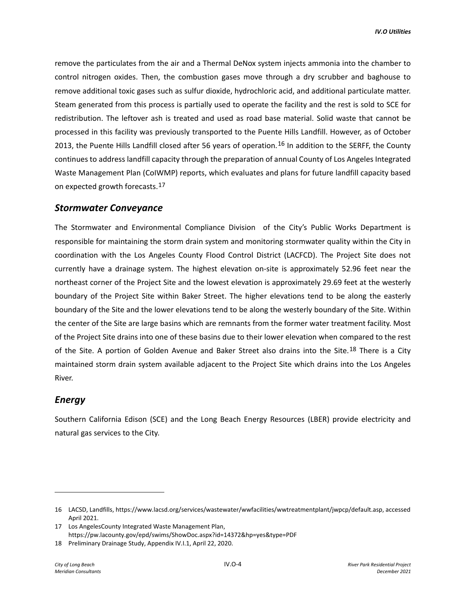remove the particulates from the air and a Thermal DeNox system injects ammonia into the chamber to control nitrogen oxides. Then, the combustion gases move through a dry scrubber and baghouse to remove additional toxic gases such as sulfur dioxide, hydrochloric acid, and additional particulate matter. Steam generated from this process is partially used to operate the facility and the rest is sold to SCE for redistribution. The leftover ash is treated and used as road base material. Solid waste that cannot be processed in this facility was previously transported to the Puente Hills Landfill. However, as of October 2013, the Puente Hills Landfill closed after 56 years of operation.<sup>[16](#page-3-0)</sup> In addition to the SERFF, the County continues to address landfill capacity through the preparation of annual County of Los Angeles Integrated Waste Management Plan (CoIWMP) reports, which evaluates and plans for future landfill capacity based on expected growth forecasts.[17](#page-3-1)

# *Stormwater Conveyance*

The Stormwater and Environmental Compliance Division of the City's Public Works Department is responsible for maintaining the storm drain system and monitoring stormwater quality within the City in coordination with the Los Angeles County Flood Control District (LACFCD). The Project Site does not currently have a drainage system. The highest elevation on-site is approximately 52.96 feet near the northeast corner of the Project Site and the lowest elevation is approximately 29.69 feet at the westerly boundary of the Project Site within Baker Street. The higher elevations tend to be along the easterly boundary of the Site and the lower elevations tend to be along the westerly boundary of the Site. Within the center of the Site are large basins which are remnants from the former water treatment facility. Most of the Project Site drains into one of these basins due to their lower elevation when compared to the rest of the Site. A portion of Golden Avenue and Baker Street also drains into the Site.<sup>[18](#page-3-2)</sup> There is a City maintained storm drain system available adjacent to the Project Site which drains into the Los Angeles River.

# *Energy*

Southern California Edison (SCE) and the Long Beach Energy Resources (LBER) provide electricity and natural gas services to the City.

<span id="page-3-0"></span><sup>16</sup> LACSD, Landfills, https://www.lacsd.org/services/wastewater/wwfacilities/wwtreatmentplant/jwpcp/default.asp, accessed April 2021.

<span id="page-3-1"></span><sup>17</sup> Los AngelesCounty Integrated Waste Management Plan, https://pw.lacounty.gov/epd/swims/ShowDoc.aspx?id=14372&hp=yes&type=PDF

<span id="page-3-2"></span><sup>18</sup> Preliminary Drainage Study, Appendix IV.I.1, April 22, 2020.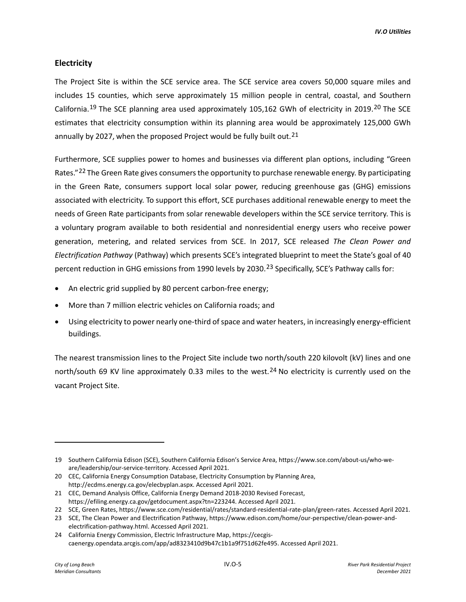## **Electricity**

The Project Site is within the SCE service area. The SCE service area covers 50,000 square miles and includes 15 counties, which serve approximately 15 million people in central, coastal, and Southern California.<sup>[19](#page-4-0)</sup> The SCE planning area used approximately 105,162 GWh of electricity in [20](#page-4-1)19.<sup>20</sup> The SCE estimates that electricity consumption within its planning area would be approximately 125,000 GWh annually by 2027, when the proposed Project would be fully built out.<sup>[21](#page-4-2)</sup>

Furthermore, SCE supplies power to homes and businesses via different plan options, including "Green Rates."<sup>[22](#page-4-3)</sup> The Green Rate gives consumers the opportunity to purchase renewable energy. By participating in the Green Rate, consumers support local solar power, reducing greenhouse gas (GHG) emissions associated with electricity. To support this effort, SCE purchases additional renewable energy to meet the needs of Green Rate participants from solar renewable developers within the SCE service territory. This is a voluntary program available to both residential and nonresidential energy users who receive power generation, metering, and related services from SCE. In 2017, SCE released *The Clean Power and Electrification Pathway* (Pathway) which presents SCE's integrated blueprint to meet the State's goal of 40 percent reduction in GHG emissions from 1990 levels by 2030.[23](#page-4-4) Specifically, SCE's Pathway calls for:

- An electric grid supplied by 80 percent carbon-free energy;
- More than 7 million electric vehicles on California roads; and
- Using electricity to power nearly one-third of space and water heaters, in increasingly energy-efficient buildings.

The nearest transmission lines to the Project Site include two north/south 220 kilovolt (kV) lines and one north/south 69 KV line approximately 0.33 miles to the west.<sup>[24](#page-4-5)</sup> No electricity is currently used on the vacant Project Site.

<span id="page-4-0"></span><sup>19</sup> Southern California Edison (SCE), Southern California Edison's Service Area, https://www.sce.com/about-us/who-weare/leadership/our-service-territory. Accessed April 2021.

<span id="page-4-1"></span><sup>20</sup> CEC, California Energy Consumption Database, Electricity Consumption by Planning Area, http://ecdms.energy.ca.gov/elecbyplan.aspx. Accessed April 2021.

<span id="page-4-2"></span><sup>21</sup> CEC, Demand Analysis Office, California Energy Demand 2018-2030 Revised Forecast, https://efiling.energy.ca.gov/getdocument.aspx?tn=223244. Accessed April 2021.

<span id="page-4-3"></span><sup>22</sup> SCE, Green Rates, https://www.sce.com/residential/rates/standard-residential-rate-plan/green-rates. Accessed April 2021.

<span id="page-4-4"></span><sup>23</sup> SCE, The Clean Power and Electrification Pathway, https://www.edison.com/home/our-perspective/clean-power-andelectrification-pathway.html. Accessed April 2021.

<span id="page-4-5"></span><sup>24</sup> California Energy Commission, Electric Infrastructure Map, https://cecgiscaenergy.opendata.arcgis.com/app/ad8323410d9b47c1b1a9f751d62fe495. Accessed April 2021.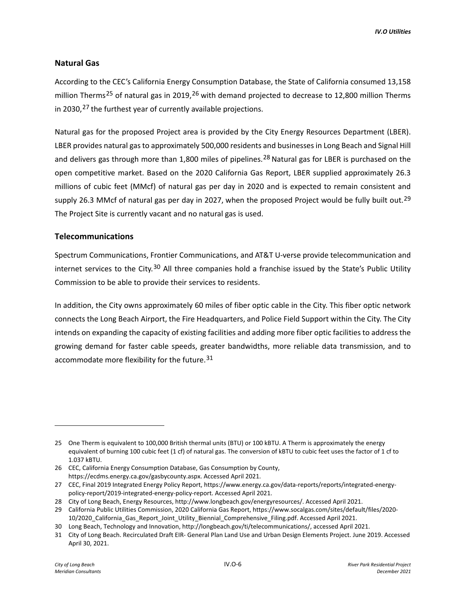## **Natural Gas**

According to the CEC's California Energy Consumption Database, the State of California consumed 13,158 million Therms<sup>[25](#page-5-0)</sup> of natural gas in 2019,<sup>[26](#page-5-1)</sup> with demand projected to decrease to 12,800 million Therms in 2030, $27$  the furthest year of currently available projections.

Natural gas for the proposed Project area is provided by the City Energy Resources Department (LBER). LBER provides natural gas to approximately 500,000 residents and businesses in Long Beach and Signal Hill and delivers gas through more than 1,800 miles of pipelines.<sup>[28](#page-5-3)</sup> Natural gas for LBER is purchased on the open competitive market. Based on the 2020 California Gas Report, LBER supplied approximately 26.3 millions of cubic feet (MMcf) of natural gas per day in 2020 and is expected to remain consistent and supply 26.3 MMcf of natural gas per day in 2027, when the proposed Project would be fully built out.<sup>[29](#page-5-4)</sup> The Project Site is currently vacant and no natural gas is used.

### **Telecommunications**

Spectrum Communications, Frontier Communications, and AT&T U-verse provide telecommunication and internet services to the City.<sup>[30](#page-5-5)</sup> All three companies hold a franchise issued by the State's Public Utility Commission to be able to provide their services to residents.

In addition, the City owns approximately 60 miles of fiber optic cable in the City. This fiber optic network connects the Long Beach Airport, the Fire Headquarters, and Police Field Support within the City. The City intends on expanding the capacity of existing facilities and adding more fiber optic facilities to address the growing demand for faster cable speeds, greater bandwidths, more reliable data transmission, and to accommodate more flexibility for the future.<sup>[31](#page-5-6)</sup>

<span id="page-5-0"></span><sup>25</sup> One Therm is equivalent to 100,000 British thermal units (BTU) or 100 kBTU. A Therm is approximately the energy equivalent of burning 100 cubic feet (1 cf) of natural gas. The conversion of kBTU to cubic feet uses the factor of 1 cf to 1.037 kBTU.

<span id="page-5-1"></span><sup>26</sup> CEC, California Energy Consumption Database, Gas Consumption by County, https://ecdms.energy.ca.gov/gasbycounty.aspx. Accessed April 2021.

<span id="page-5-2"></span><sup>27</sup> CEC, Final 2019 Integrated Energy Policy Report, https://www.energy.ca.gov/data-reports/reports/integrated-energypolicy-report/2019-integrated-energy-policy-report. Accessed April 2021.

<span id="page-5-3"></span><sup>28</sup> City of Long Beach, Energy Resources, http://www.longbeach.gov/energyresources/. Accessed April 2021.

<span id="page-5-4"></span><sup>29</sup> California Public Utilities Commission, 2020 California Gas Report, https://www.socalgas.com/sites/default/files/2020- 10/2020\_California\_Gas\_Report\_Joint\_Utility\_Biennial\_Comprehensive\_Filing.pdf. Accessed April 2021.

<span id="page-5-5"></span><sup>30</sup> Long Beach, Technology and Innovation, http://longbeach.gov/ti/telecommunications/, accessed April 2021.

<span id="page-5-6"></span><sup>31</sup> City of Long Beach. Recirculated Draft EIR- General Plan Land Use and Urban Design Elements Project. June 2019. Accessed April 30, 2021.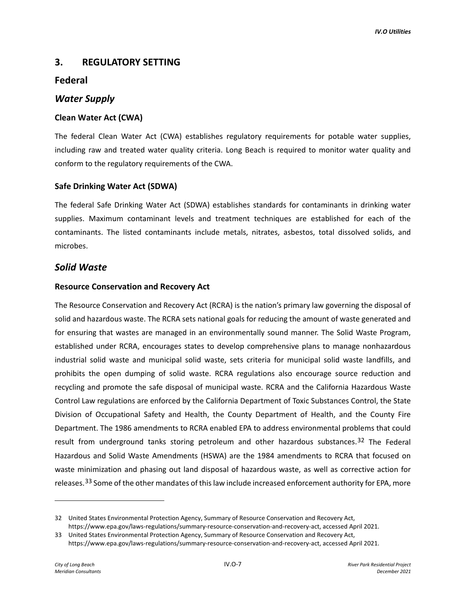# **3. REGULATORY SETTING**

# **Federal**

## *Water Supply*

## **Clean Water Act (CWA)**

The federal Clean Water Act (CWA) establishes regulatory requirements for potable water supplies, including raw and treated water quality criteria. Long Beach is required to monitor water quality and conform to the regulatory requirements of the CWA.

## **Safe Drinking Water Act (SDWA)**

The federal Safe Drinking Water Act (SDWA) establishes standards for contaminants in drinking water supplies. Maximum contaminant levels and treatment techniques are established for each of the contaminants. The listed contaminants include metals, nitrates, asbestos, total dissolved solids, and microbes.

# *Solid Waste*

## **Resource Conservation and Recovery Act**

The Resource Conservation and Recovery Act (RCRA) is the nation's primary law governing the disposal of solid and hazardous waste. The RCRA sets national goals for reducing the amount of waste generated and for ensuring that wastes are managed in an environmentally sound manner. The Solid Waste Program, established under RCRA, encourages states to develop comprehensive plans to manage nonhazardous industrial solid waste and municipal solid waste, sets criteria for municipal solid waste landfills, and prohibits the open dumping of solid waste. RCRA regulations also encourage source reduction and recycling and promote the safe disposal of municipal waste. RCRA and the California Hazardous Waste Control Law regulations are enforced by the California Department of Toxic Substances Control, the State Division of Occupational Safety and Health, the County Department of Health, and the County Fire Department. The 1986 amendments to RCRA enabled EPA to address environmental problems that could result from underground tanks storing petroleum and other hazardous substances.<sup>[32](#page-6-0)</sup> The Federal Hazardous and Solid Waste Amendments (HSWA) are the 1984 amendments to RCRA that focused on waste minimization and phasing out land disposal of hazardous waste, as well as corrective action for releases.<sup>[33](#page-6-1)</sup> Some of the other mandates of this law include increased enforcement authority for EPA, more

<span id="page-6-0"></span><sup>32</sup> United States Environmental Protection Agency, Summary of Resource Conservation and Recovery Act, https://www.epa.gov/laws-regulations/summary-resource-conservation-and-recovery-act, accessed April 2021.

<span id="page-6-1"></span><sup>33</sup> United States Environmental Protection Agency, Summary of Resource Conservation and Recovery Act, https://www.epa.gov/laws-regulations/summary-resource-conservation-and-recovery-act, accessed April 2021.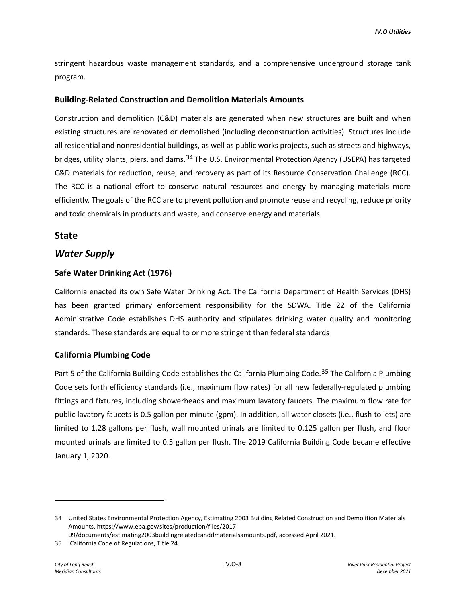stringent hazardous waste management standards, and a comprehensive underground storage tank program.

### **Building-Related Construction and Demolition Materials Amounts**

Construction and demolition (C&D) materials are generated when new structures are built and when existing structures are renovated or demolished (including deconstruction activities). Structures include all residential and nonresidential buildings, as well as public works projects, such as streets and highways, bridges, utility plants, piers, and dams.<sup>[34](#page-7-0)</sup> The U.S. Environmental Protection Agency (USEPA) has targeted C&D materials for reduction, reuse, and recovery as part of its Resource Conservation Challenge (RCC). The RCC is a national effort to conserve natural resources and energy by managing materials more efficiently. The goals of the RCC are to prevent pollution and promote reuse and recycling, reduce priority and toxic chemicals in products and waste, and conserve energy and materials.

### **State**

## *Water Supply*

### **Safe Water Drinking Act (1976)**

California enacted its own Safe Water Drinking Act. The California Department of Health Services (DHS) has been granted primary enforcement responsibility for the SDWA. Title 22 of the California Administrative Code establishes DHS authority and stipulates drinking water quality and monitoring standards. These standards are equal to or more stringent than federal standards

### **California Plumbing Code**

Part 5 of the California Building Code establishes the California Plumbing Code.<sup>[35](#page-7-1)</sup> The California Plumbing Code sets forth efficiency standards (i.e., maximum flow rates) for all new federally-regulated plumbing fittings and fixtures, including showerheads and maximum lavatory faucets. The maximum flow rate for public lavatory faucets is 0.5 gallon per minute (gpm). In addition, all water closets (i.e., flush toilets) are limited to 1.28 gallons per flush, wall mounted urinals are limited to 0.125 gallon per flush, and floor mounted urinals are limited to 0.5 gallon per flush. The 2019 California Building Code became effective January 1, 2020.

<span id="page-7-0"></span><sup>34</sup> United States Environmental Protection Agency, Estimating 2003 Building Related Construction and Demolition Materials Amounts, https://www.epa.gov/sites/production/files/2017-

<sup>09/</sup>documents/estimating2003buildingrelatedcanddmaterialsamounts.pdf, accessed April 2021.

<span id="page-7-1"></span><sup>35</sup> California Code of Regulations, Title 24.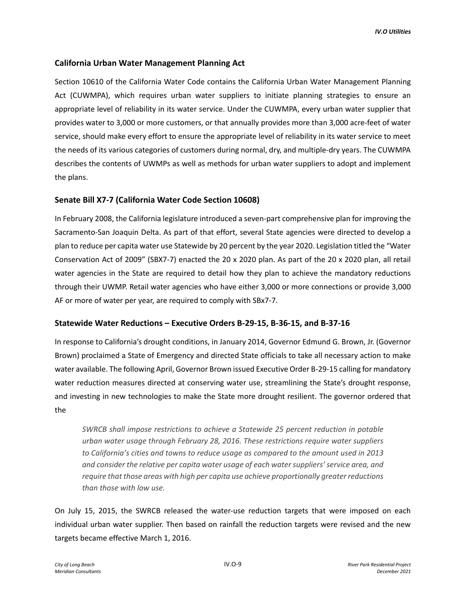## **California Urban Water Management Planning Act**

Section 10610 of the California Water Code contains the California Urban Water Management Planning Act (CUWMPA), which requires urban water suppliers to initiate planning strategies to ensure an appropriate level of reliability in its water service. Under the CUWMPA, every urban water supplier that provides water to 3,000 or more customers, or that annually provides more than 3,000 acre-feet of water service, should make every effort to ensure the appropriate level of reliability in its water service to meet the needs of its various categories of customers during normal, dry, and multiple-dry years. The CUWMPA describes the contents of UWMPs as well as methods for urban water suppliers to adopt and implement the plans.

### **Senate Bill X7-7 (California Water Code Section 10608)**

In February 2008, the California legislature introduced a seven-part comprehensive plan for improving the Sacramento-San Joaquin Delta. As part of that effort, several State agencies were directed to develop a plan to reduce per capita water use Statewide by 20 percent by the year 2020. Legislation titled the "Water Conservation Act of 2009" (SBX7-7) enacted the 20 x 2020 plan. As part of the 20 x 2020 plan, all retail water agencies in the State are required to detail how they plan to achieve the mandatory reductions through their UWMP. Retail water agencies who have either 3,000 or more connections or provide 3,000 AF or more of water per year, are required to comply with SBx7-7.

### **Statewide Water Reductions – Executive Orders B-29-15, B-36-15, and B-37-16**

In response to California's drought conditions, in January 2014, Governor Edmund G. Brown, Jr. (Governor Brown) proclaimed a State of Emergency and directed State officials to take all necessary action to make water available. The following April, Governor Brown issued Executive Order B-29-15 calling for mandatory water reduction measures directed at conserving water use, streamlining the State's drought response, and investing in new technologies to make the State more drought resilient. The governor ordered that the

*SWRCB shall impose restrictions to achieve a Statewide 25 percent reduction in potable urban water usage through February 28, 2016. These restrictions require water suppliers to California's cities and towns to reduce usage as compared to the amount used in 2013 and consider the relative per capita water usage of each water suppliers' service area, and require that those areas with high per capita use achieve proportionally greater reductions than those with low use.*

On July 15, 2015, the SWRCB released the water-use reduction targets that were imposed on each individual urban water supplier. Then based on rainfall the reduction targets were revised and the new targets became effective March 1, 2016.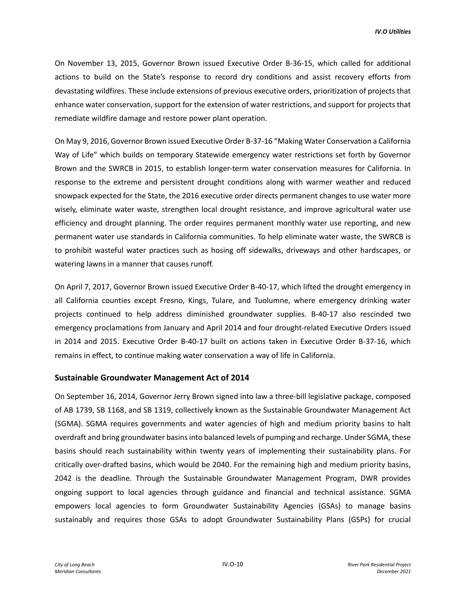On November 13, 2015, Governor Brown issued Executive Order B-36-15, which called for additional actions to build on the State's response to record dry conditions and assist recovery efforts from devastating wildfires. These include extensions of previous executive orders, prioritization of projects that enhance water conservation, support for the extension of water restrictions, and support for projects that remediate wildfire damage and restore power plant operation.

On May 9, 2016, Governor Brown issued Executive Order B-37-16 "Making Water Conservation a California Way of Life" which builds on temporary Statewide emergency water restrictions set forth by Governor Brown and the SWRCB in 2015, to establish longer-term water conservation measures for California. In response to the extreme and persistent drought conditions along with warmer weather and reduced snowpack expected for the State, the 2016 executive order directs permanent changes to use water more wisely, eliminate water waste, strengthen local drought resistance, and improve agricultural water use efficiency and drought planning. The order requires permanent monthly water use reporting, and new permanent water use standards in California communities. To help eliminate water waste, the SWRCB is to prohibit wasteful water practices such as hosing off sidewalks, driveways and other hardscapes, or watering lawns in a manner that causes runoff.

On April 7, 2017, Governor Brown issued Executive Order B-40-17, which lifted the drought emergency in all California counties except Fresno, Kings, Tulare, and Tuolumne, where emergency drinking water projects continued to help address diminished groundwater supplies. B-40-17 also rescinded two emergency proclamations from January and April 2014 and four drought-related Executive Orders issued in 2014 and 2015. Executive Order B-40-17 built on actions taken in Executive Order B-37-16, which remains in effect, to continue making water conservation a way of life in California.

### **Sustainable Groundwater Management Act of 2014**

On September 16, 2014, Governor Jerry Brown signed into law a three-bill legislative package, composed of AB 1739, SB 1168, and SB 1319, collectively known as the Sustainable Groundwater Management Act (SGMA). SGMA requires governments and water agencies of high and medium priority basins to halt overdraft and bring groundwater basins into balanced levels of pumping and recharge. Under SGMA, these basins should reach sustainability within twenty years of implementing their sustainability plans. For critically over-drafted basins, which would be 2040. For the remaining high and medium priority basins, 2042 is the deadline. Through the Sustainable Groundwater Management Program, DWR provides ongoing support to local agencies through guidance and financial and technical assistance. SGMA empowers local agencies to form Groundwater Sustainability Agencies (GSAs) to manage basins sustainably and requires those GSAs to adopt Groundwater Sustainability Plans (GSPs) for crucial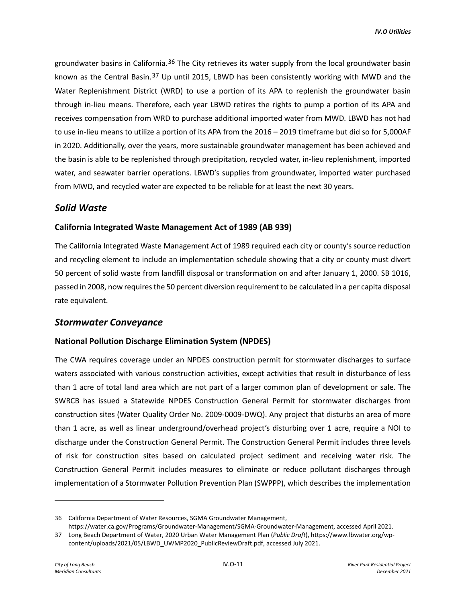groundwater basins in California.<sup>[36](#page-10-0)</sup> The City retrieves its water supply from the local groundwater basin known as the Central Basin.[37](#page-10-1) Up until 2015, LBWD has been consistently working with MWD and the Water Replenishment District (WRD) to use a portion of its APA to replenish the groundwater basin through in-lieu means. Therefore, each year LBWD retires the rights to pump a portion of its APA and receives compensation from WRD to purchase additional imported water from MWD. LBWD has not had to use in-lieu means to utilize a portion of its APA from the 2016 – 2019 timeframe but did so for 5,000AF in 2020. Additionally, over the years, more sustainable groundwater management has been achieved and the basin is able to be replenished through precipitation, recycled water, in-lieu replenishment, imported water, and seawater barrier operations. LBWD's supplies from groundwater, imported water purchased from MWD, and recycled water are expected to be reliable for at least the next 30 years.

# *Solid Waste*

### **California Integrated Waste Management Act of 1989 (AB 939)**

The California Integrated Waste Management Act of 1989 required each city or county's source reduction and recycling element to include an implementation schedule showing that a city or county must divert 50 percent of solid waste from landfill disposal or transformation on and after January 1, 2000. SB 1016, passed in 2008, now requires the 50 percent diversion requirement to be calculated in a per capita disposal rate equivalent.

## *Stormwater Conveyance*

## **National Pollution Discharge Elimination System (NPDES)**

The CWA requires coverage under an NPDES construction permit for stormwater discharges to surface waters associated with various construction activities, except activities that result in disturbance of less than 1 acre of total land area which are not part of a larger common plan of development or sale. The SWRCB has issued a Statewide NPDES Construction General Permit for stormwater discharges from construction sites (Water Quality Order No. 2009-0009-DWQ). Any project that disturbs an area of more than 1 acre, as well as linear underground/overhead project's disturbing over 1 acre, require a NOI to discharge under the Construction General Permit. The Construction General Permit includes three levels of risk for construction sites based on calculated project sediment and receiving water risk. The Construction General Permit includes measures to eliminate or reduce pollutant discharges through implementation of a Stormwater Pollution Prevention Plan (SWPPP), which describes the implementation

<span id="page-10-0"></span><sup>36</sup> California Department of Water Resources, SGMA Groundwater Management,

<span id="page-10-1"></span>https://water.ca.gov/Programs/Groundwater-Management/SGMA-Groundwater-Management, accessed April 2021. 37 Long Beach Department of Water, 2020 Urban Water Management Plan (*Public Draft*), https://www.lbwater.org/wpcontent/uploads/2021/05/LBWD\_UWMP2020\_PublicReviewDraft.pdf, accessed July 2021.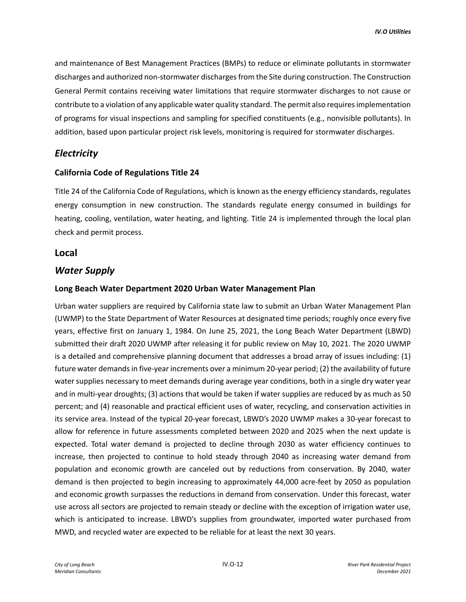and maintenance of Best Management Practices (BMPs) to reduce or eliminate pollutants in stormwater discharges and authorized non-stormwater discharges from the Site during construction. The Construction General Permit contains receiving water limitations that require stormwater discharges to not cause or contribute to a violation of any applicable water quality standard. The permit also requires implementation of programs for visual inspections and sampling for specified constituents (e.g., nonvisible pollutants). In addition, based upon particular project risk levels, monitoring is required for stormwater discharges.

# *Electricity*

### **California Code of Regulations Title 24**

Title 24 of the California Code of Regulations, which is known as the energy efficiency standards, regulates energy consumption in new construction. The standards regulate energy consumed in buildings for heating, cooling, ventilation, water heating, and lighting. Title 24 is implemented through the local plan check and permit process.

## **Local**

## *Water Supply*

### **Long Beach Water Department 2020 Urban Water Management Plan**

Urban water suppliers are required by California state law to submit an Urban Water Management Plan (UWMP) to the State Department of Water Resources at designated time periods; roughly once every five years, effective first on January 1, 1984. On June 25, 2021, the Long Beach Water Department (LBWD) submitted their draft 2020 UWMP after releasing it for public review on May 10, 2021. The 2020 UWMP is a detailed and comprehensive planning document that addresses a broad array of issues including: (1) future water demands in five-year increments over a minimum 20-year period; (2) the availability of future water supplies necessary to meet demands during average year conditions, both in a single dry water year and in multi-year droughts; (3) actions that would be taken if water supplies are reduced by as much as 50 percent; and (4) reasonable and practical efficient uses of water, recycling, and conservation activities in its service area. Instead of the typical 20-year forecast, LBWD's 2020 UWMP makes a 30-year forecast to allow for reference in future assessments completed between 2020 and 2025 when the next update is expected. Total water demand is projected to decline through 2030 as water efficiency continues to increase, then projected to continue to hold steady through 2040 as increasing water demand from population and economic growth are canceled out by reductions from conservation. By 2040, water demand is then projected to begin increasing to approximately 44,000 acre-feet by 2050 as population and economic growth surpasses the reductions in demand from conservation. Under this forecast, water use across all sectors are projected to remain steady or decline with the exception of irrigation water use, which is anticipated to increase. LBWD's supplies from groundwater, imported water purchased from MWD, and recycled water are expected to be reliable for at least the next 30 years.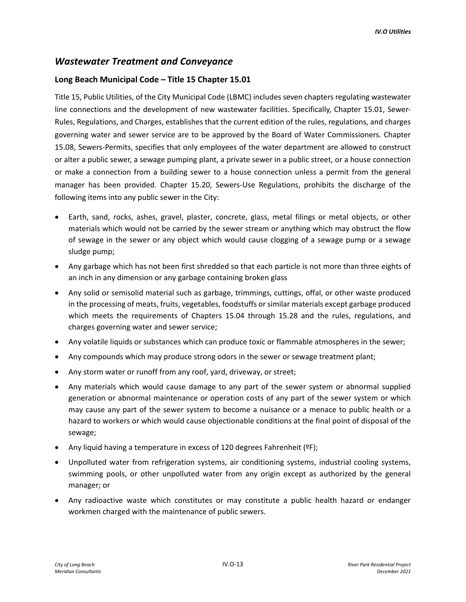# *Wastewater Treatment and Conveyance*

## **Long Beach Municipal Code – Title 15 Chapter 15.01**

Title 15, Public Utilities, of the City Municipal Code (LBMC) includes seven chapters regulating wastewater line connections and the development of new wastewater facilities. Specifically, Chapter 15.01, Sewer-Rules, Regulations, and Charges, establishes that the current edition of the rules, regulations, and charges governing water and sewer service are to be approved by the Board of Water Commissioners. Chapter 15.08, Sewers-Permits, specifies that only employees of the water department are allowed to construct or alter a public sewer, a sewage pumping plant, a private sewer in a public street, or a house connection or make a connection from a building sewer to a house connection unless a permit from the general manager has been provided. Chapter 15.20, Sewers-Use Regulations, prohibits the discharge of the following items into any public sewer in the City:

- Earth, sand, rocks, ashes, gravel, plaster, concrete, glass, metal filings or metal objects, or other materials which would not be carried by the sewer stream or anything which may obstruct the flow of sewage in the sewer or any object which would cause clogging of a sewage pump or a sewage sludge pump;
- Any garbage which has not been first shredded so that each particle is not more than three eights of an inch in any dimension or any garbage containing broken glass
- Any solid or semisolid material such as garbage, trimmings, cuttings, offal, or other waste produced in the processing of meats, fruits, vegetables, foodstuffs or similar materials except garbage produced which meets the requirements of Chapters 15.04 through 15.28 and the rules, regulations, and charges governing water and sewer service;
- Any volatile liquids or substances which can produce toxic or flammable atmospheres in the sewer;
- Any compounds which may produce strong odors in the sewer or sewage treatment plant;
- Any storm water or runoff from any roof, yard, driveway, or street;
- Any materials which would cause damage to any part of the sewer system or abnormal supplied generation or abnormal maintenance or operation costs of any part of the sewer system or which may cause any part of the sewer system to become a nuisance or a menace to public health or a hazard to workers or which would cause objectionable conditions at the final point of disposal of the sewage;
- Any liquid having a temperature in excess of 120 degrees Fahrenheit (ºF);
- Unpolluted water from refrigeration systems, air conditioning systems, industrial cooling systems, swimming pools, or other unpolluted water from any origin except as authorized by the general manager; or
- Any radioactive waste which constitutes or may constitute a public health hazard or endanger workmen charged with the maintenance of public sewers.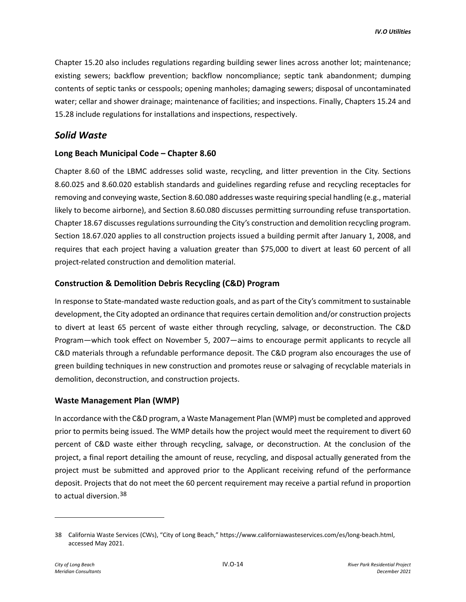Chapter 15.20 also includes regulations regarding building sewer lines across another lot; maintenance; existing sewers; backflow prevention; backflow noncompliance; septic tank abandonment; dumping contents of septic tanks or cesspools; opening manholes; damaging sewers; disposal of uncontaminated water; cellar and shower drainage; maintenance of facilities; and inspections. Finally, Chapters 15.24 and 15.28 include regulations for installations and inspections, respectively.

# *Solid Waste*

## **Long Beach Municipal Code – Chapter 8.60**

Chapter 8.60 of the LBMC addresses solid waste, recycling, and litter prevention in the City. Sections 8.60.025 and 8.60.020 establish standards and guidelines regarding refuse and recycling receptacles for removing and conveying waste, Section 8.60.080 addresses waste requiring special handling (e.g., material likely to become airborne), and Section 8.60.080 discusses permitting surrounding refuse transportation. Chapter 18.67 discusses regulations surrounding the City's construction and demolition recycling program. Section 18.67.020 applies to all construction projects issued a building permit after January 1, 2008, and requires that each project having a valuation greater than \$75,000 to divert at least 60 percent of all project-related construction and demolition material.

### **Construction & Demolition Debris Recycling (C&D) Program**

In response to State-mandated waste reduction goals, and as part of the City's commitment to sustainable development, the City adopted an ordinance that requires certain demolition and/or construction projects to divert at least 65 percent of waste either through recycling, salvage, or deconstruction. The C&D Program—which took effect on November 5, 2007—aims to encourage permit applicants to recycle all C&D materials through a refundable performance deposit. The C&D program also encourages the use of green building techniques in new construction and promotes reuse or salvaging of recyclable materials in demolition, deconstruction, and construction projects.

## **Waste Management Plan (WMP)**

In accordance with the C&D program, a Waste Management Plan (WMP) must be completed and approved prior to permits being issued. The WMP details how the project would meet the requirement to divert 60 percent of C&D waste either through recycling, salvage, or deconstruction. At the conclusion of the project, a final report detailing the amount of reuse, recycling, and disposal actually generated from the project must be submitted and approved prior to the Applicant receiving refund of the performance deposit. Projects that do not meet the 60 percent requirement may receive a partial refund in proportion to actual diversion.[38](#page-13-0)

<span id="page-13-0"></span><sup>38</sup> California Waste Services (CWs), "City of Long Beach," https://www.californiawasteservices.com/es/long-beach.html, accessed May 2021.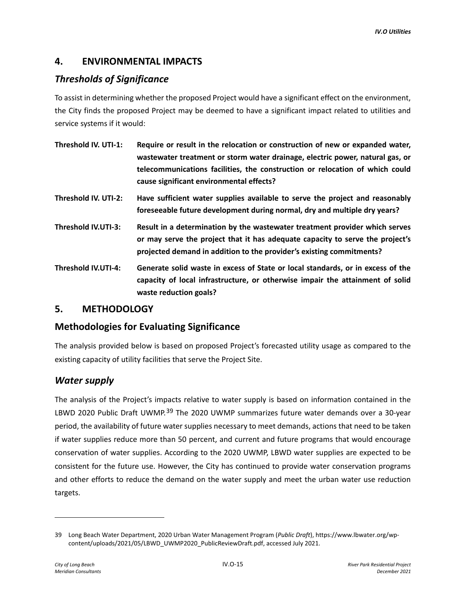# **4. ENVIRONMENTAL IMPACTS**

# *Thresholds of Significance*

To assist in determining whether the proposed Project would have a significant effect on the environment, the City finds the proposed Project may be deemed to have a significant impact related to utilities and service systems if it would:

- **Threshold IV. UTI-1: Require or result in the relocation or construction of new or expanded water, wastewater treatment or storm water drainage, electric power, natural gas, or telecommunications facilities, the construction or relocation of which could cause significant environmental effects?**
- **Threshold IV. UTI-2: Have sufficient water supplies available to serve the project and reasonably foreseeable future development during normal, dry and multiple dry years?**
- **Threshold IV.UTI-3: Result in a determination by the wastewater treatment provider which serves or may serve the project that it has adequate capacity to serve the project's projected demand in addition to the provider's existing commitments?**
- **Threshold IV.UTI-4: Generate solid waste in excess of State or local standards, or in excess of the capacity of local infrastructure, or otherwise impair the attainment of solid waste reduction goals?**

# **5. METHODOLOGY**

# **Methodologies for Evaluating Significance**

The analysis provided below is based on proposed Project's forecasted utility usage as compared to the existing capacity of utility facilities that serve the Project Site.

# *Water supply*

The analysis of the Project's impacts relative to water supply is based on information contained in the LBWD 2020 Public Draft UWMP.<sup>[39](#page-14-0)</sup> The 2020 UWMP summarizes future water demands over a 30-year period, the availability of future water supplies necessary to meet demands, actions that need to be taken if water supplies reduce more than 50 percent, and current and future programs that would encourage conservation of water supplies. According to the 2020 UWMP, LBWD water supplies are expected to be consistent for the future use. However, the City has continued to provide water conservation programs and other efforts to reduce the demand on the water supply and meet the urban water use reduction targets.

<span id="page-14-0"></span><sup>39</sup> Long Beach Water Department, 2020 Urban Water Management Program (*Public Draft*), https://www.lbwater.org/wpcontent/uploads/2021/05/LBWD\_UWMP2020\_PublicReviewDraft.pdf, accessed July 2021.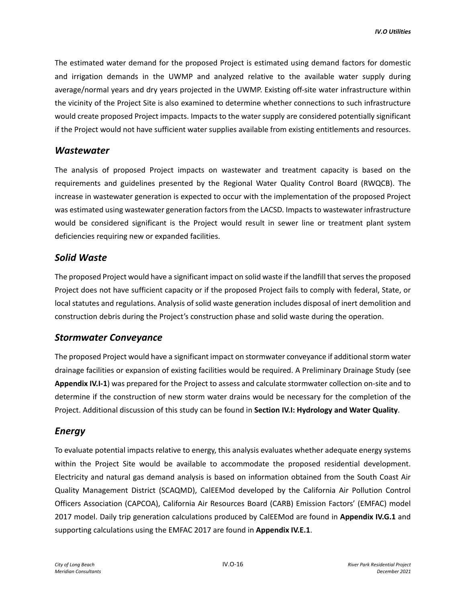The estimated water demand for the proposed Project is estimated using demand factors for domestic and irrigation demands in the UWMP and analyzed relative to the available water supply during average/normal years and dry years projected in the UWMP. Existing off-site water infrastructure within the vicinity of the Project Site is also examined to determine whether connections to such infrastructure would create proposed Project impacts. Impacts to the water supply are considered potentially significant if the Project would not have sufficient water supplies available from existing entitlements and resources.

# *Wastewater*

The analysis of proposed Project impacts on wastewater and treatment capacity is based on the requirements and guidelines presented by the Regional Water Quality Control Board (RWQCB). The increase in wastewater generation is expected to occur with the implementation of the proposed Project was estimated using wastewater generation factors from the LACSD. Impacts to wastewater infrastructure would be considered significant is the Project would result in sewer line or treatment plant system deficiencies requiring new or expanded facilities.

# *Solid Waste*

The proposed Project would have a significant impact on solid waste if the landfill that serves the proposed Project does not have sufficient capacity or if the proposed Project fails to comply with federal, State, or local statutes and regulations. Analysis of solid waste generation includes disposal of inert demolition and construction debris during the Project's construction phase and solid waste during the operation.

# *Stormwater Conveyance*

The proposed Project would have a significant impact on stormwater conveyance if additional storm water drainage facilities or expansion of existing facilities would be required. A Preliminary Drainage Study (see **Appendix IV.I-1**) was prepared for the Project to assess and calculate stormwater collection on-site and to determine if the construction of new storm water drains would be necessary for the completion of the Project. Additional discussion of this study can be found in **Section IV.I: Hydrology and Water Quality**.

# *Energy*

To evaluate potential impacts relative to energy, this analysis evaluates whether adequate energy systems within the Project Site would be available to accommodate the proposed residential development. Electricity and natural gas demand analysis is based on information obtained from the South Coast Air Quality Management District (SCAQMD), CalEEMod developed by the California Air Pollution Control Officers Association (CAPCOA), California Air Resources Board (CARB) Emission Factors' (EMFAC) model 2017 model. Daily trip generation calculations produced by CalEEMod are found in **Appendix IV.G.1** and supporting calculations using the EMFAC 2017 are found in **Appendix IV.E.1**.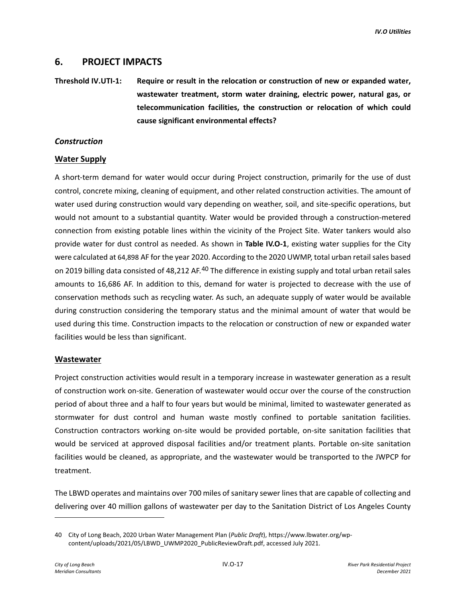# **6. PROJECT IMPACTS**

**Threshold IV.UTI-1: Require or result in the relocation or construction of new or expanded water, wastewater treatment, storm water draining, electric power, natural gas, or telecommunication facilities, the construction or relocation of which could cause significant environmental effects?**

### *Construction*

### **Water Supply**

A short-term demand for water would occur during Project construction, primarily for the use of dust control, concrete mixing, cleaning of equipment, and other related construction activities. The amount of water used during construction would vary depending on weather, soil, and site-specific operations, but would not amount to a substantial quantity. Water would be provided through a construction-metered connection from existing potable lines within the vicinity of the Project Site. Water tankers would also provide water for dust control as needed. As shown in **Table IV.O-1**, existing water supplies for the City were calculated at 64,898 AF for the year 2020. According to the 2020 UWMP, total urban retail sales based on 2019 billing data consisted of 48,212 AF.<sup>[40](#page-16-0)</sup> The difference in existing supply and total urban retail sales amounts to 16,686 AF. In addition to this, demand for water is projected to decrease with the use of conservation methods such as recycling water. As such, an adequate supply of water would be available during construction considering the temporary status and the minimal amount of water that would be used during this time. Construction impacts to the relocation or construction of new or expanded water facilities would be less than significant.

### **Wastewater**

Project construction activities would result in a temporary increase in wastewater generation as a result of construction work on-site. Generation of wastewater would occur over the course of the construction period of about three and a half to four years but would be minimal, limited to wastewater generated as stormwater for dust control and human waste mostly confined to portable sanitation facilities. Construction contractors working on-site would be provided portable, on-site sanitation facilities that would be serviced at approved disposal facilities and/or treatment plants. Portable on-site sanitation facilities would be cleaned, as appropriate, and the wastewater would be transported to the JWPCP for treatment.

The LBWD operates and maintains over 700 miles of sanitary sewer lines that are capable of collecting and delivering over 40 million gallons of wastewater per day to the Sanitation District of Los Angeles County

<span id="page-16-0"></span><sup>40</sup> City of Long Beach, 2020 Urban Water Management Plan (*Public Draft*), https://www.lbwater.org/wpcontent/uploads/2021/05/LBWD\_UWMP2020\_PublicReviewDraft.pdf, accessed July 2021.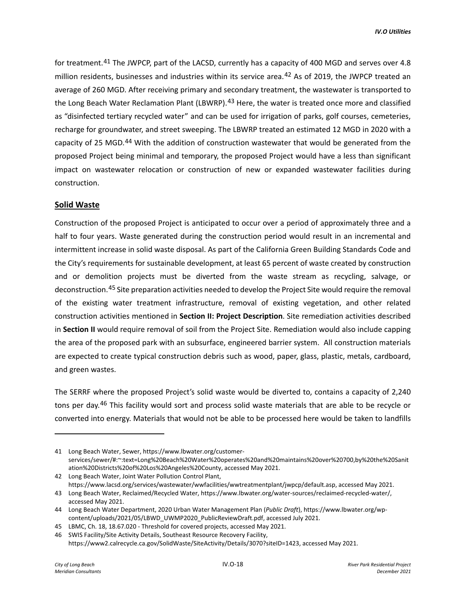for treatment.<sup>[41](#page-17-0)</sup> The JWPCP, part of the LACSD, currently has a capacity of 400 MGD and serves over 4.8 million residents, businesses and industries within its service area.<sup>[42](#page-17-1)</sup> As of 2019, the JWPCP treated an average of 260 MGD. After receiving primary and secondary treatment, the wastewater is transported to the Long Beach Water Reclamation Plant (LBWRP).<sup>[43](#page-17-2)</sup> Here, the water is treated once more and classified as "disinfected tertiary recycled water" and can be used for irrigation of parks, golf courses, cemeteries, recharge for groundwater, and street sweeping. The LBWRP treated an estimated 12 MGD in 2020 with a capacity of 25 MGD.<sup>[44](#page-17-3)</sup> With the addition of construction wastewater that would be generated from the proposed Project being minimal and temporary, the proposed Project would have a less than significant impact on wastewater relocation or construction of new or expanded wastewater facilities during construction.

### **Solid Waste**

Construction of the proposed Project is anticipated to occur over a period of approximately three and a half to four years. Waste generated during the construction period would result in an incremental and intermittent increase in solid waste disposal. As part of the California Green Building Standards Code and the City's requirements for sustainable development, at least 65 percent of waste created by construction and or demolition projects must be diverted from the waste stream as recycling, salvage, or deconstruction.[45](#page-17-4) Site preparation activities needed to develop the Project Site would require the removal of the existing water treatment infrastructure, removal of existing vegetation, and other related construction activities mentioned in **Section II: Project Description**. Site remediation activities described in **Section II** would require removal of soil from the Project Site. Remediation would also include capping the area of the proposed park with an subsurface, engineered barrier system. All construction materials are expected to create typical construction debris such as wood, paper, glass, plastic, metals, cardboard, and green wastes.

The SERRF where the proposed Project's solid waste would be diverted to, contains a capacity of 2,240 tons per day.[46](#page-17-5) This facility would sort and process solid waste materials that are able to be recycle or converted into energy. Materials that would not be able to be processed here would be taken to landfills

<span id="page-17-0"></span><sup>41</sup> Long Beach Water, Sewer, https://www.lbwater.org/customerservices/sewer/#:~:text=Long%20Beach%20Water%20operates%20and%20maintains%20over%20700,by%20the%20Sanit ation%20Districts%20of%20Los%20Angeles%20County, accessed May 2021.

<span id="page-17-1"></span><sup>42</sup> Long Beach Water, Joint Water Pollution Control Plant, https://www.lacsd.org/services/wastewater/wwfacilities/wwtreatmentplant/jwpcp/default.asp, accessed May 2021.

<span id="page-17-2"></span><sup>43</sup> Long Beach Water, Reclaimed/Recycled Water, https://www.lbwater.org/water-sources/reclaimed-recycled-water/, accessed May 2021.

<span id="page-17-3"></span><sup>44</sup> Long Beach Water Department, 2020 Urban Water Management Plan (*Public Draft*), https://www.lbwater.org/wpcontent/uploads/2021/05/LBWD\_UWMP2020\_PublicReviewDraft.pdf, accessed July 2021.

<span id="page-17-4"></span><sup>45</sup> LBMC, Ch. 18, 18.67.020 - Threshold for covered projects, accessed May 2021.

<span id="page-17-5"></span><sup>46</sup> SWIS Facility/Site Activity Details, Southeast Resource Recovery Facility, https://www2.calrecycle.ca.gov/SolidWaste/SiteActivity/Details/3070?siteID=1423, accessed May 2021.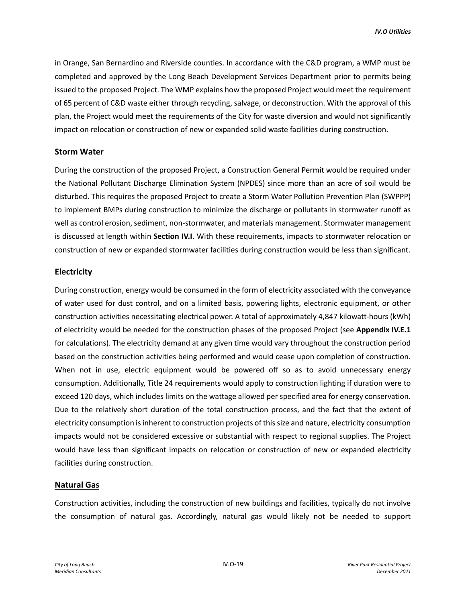in Orange, San Bernardino and Riverside counties. In accordance with the C&D program, a WMP must be completed and approved by the Long Beach Development Services Department prior to permits being issued to the proposed Project. The WMP explains how the proposed Project would meet the requirement of 65 percent of C&D waste either through recycling, salvage, or deconstruction. With the approval of this plan, the Project would meet the requirements of the City for waste diversion and would not significantly impact on relocation or construction of new or expanded solid waste facilities during construction.

### **Storm Water**

During the construction of the proposed Project, a Construction General Permit would be required under the National Pollutant Discharge Elimination System (NPDES) since more than an acre of soil would be disturbed. This requires the proposed Project to create a Storm Water Pollution Prevention Plan (SWPPP) to implement BMPs during construction to minimize the discharge or pollutants in stormwater runoff as well as control erosion, sediment, non-stormwater, and materials management. Stormwater management is discussed at length within **Section IV.I**. With these requirements, impacts to stormwater relocation or construction of new or expanded stormwater facilities during construction would be less than significant.

### **Electricity**

During construction, energy would be consumed in the form of electricity associated with the conveyance of water used for dust control, and on a limited basis, powering lights, electronic equipment, or other construction activities necessitating electrical power. A total of approximately 4,847 kilowatt-hours (kWh) of electricity would be needed for the construction phases of the proposed Project (see **Appendix IV.E.1**  for calculations). The electricity demand at any given time would vary throughout the construction period based on the construction activities being performed and would cease upon completion of construction. When not in use, electric equipment would be powered off so as to avoid unnecessary energy consumption. Additionally, Title 24 requirements would apply to construction lighting if duration were to exceed 120 days, which includes limits on the wattage allowed per specified area for energy conservation. Due to the relatively short duration of the total construction process, and the fact that the extent of electricity consumption is inherent to construction projects of this size and nature, electricity consumption impacts would not be considered excessive or substantial with respect to regional supplies. The Project would have less than significant impacts on relocation or construction of new or expanded electricity facilities during construction.

### **Natural Gas**

Construction activities, including the construction of new buildings and facilities, typically do not involve the consumption of natural gas. Accordingly, natural gas would likely not be needed to support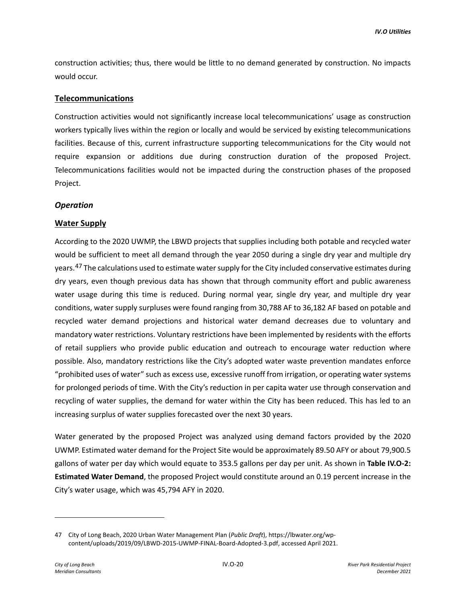construction activities; thus, there would be little to no demand generated by construction. No impacts would occur.

### **Telecommunications**

Construction activities would not significantly increase local telecommunications' usage as construction workers typically lives within the region or locally and would be serviced by existing telecommunications facilities. Because of this, current infrastructure supporting telecommunications for the City would not require expansion or additions due during construction duration of the proposed Project. Telecommunications facilities would not be impacted during the construction phases of the proposed Project.

### *Operation*

### **Water Supply**

According to the 2020 UWMP, the LBWD projects that supplies including both potable and recycled water would be sufficient to meet all demand through the year 2050 during a single dry year and multiple dry years.<sup>[47](#page-19-0)</sup> The calculations used to estimate water supply for the City included conservative estimates during dry years, even though previous data has shown that through community effort and public awareness water usage during this time is reduced. During normal year, single dry year, and multiple dry year conditions, water supply surpluses were found ranging from 30,788 AF to 36,182 AF based on potable and recycled water demand projections and historical water demand decreases due to voluntary and mandatory water restrictions. Voluntary restrictions have been implemented by residents with the efforts of retail suppliers who provide public education and outreach to encourage water reduction where possible. Also, mandatory restrictions like the City's adopted water waste prevention mandates enforce "prohibited uses of water" such as excess use, excessive runoff from irrigation, or operating water systems for prolonged periods of time. With the City's reduction in per capita water use through conservation and recycling of water supplies, the demand for water within the City has been reduced. This has led to an increasing surplus of water supplies forecasted over the next 30 years.

Water generated by the proposed Project was analyzed using demand factors provided by the 2020 UWMP. Estimated water demand for the Project Site would be approximately 89.50 AFY or about 79,900.5 gallons of water per day which would equate to 353.5 gallons per day per unit. As shown in **Table IV.O-2: Estimated Water Demand**, the proposed Project would constitute around an 0.19 percent increase in the City's water usage, which was 45,794 AFY in 2020.

<span id="page-19-0"></span><sup>47</sup> City of Long Beach, 2020 Urban Water Management Plan (*Public Draft*), https://lbwater.org/wpcontent/uploads/2019/09/LBWD-2015-UWMP-FINAL-Board-Adopted-3.pdf, accessed April 2021.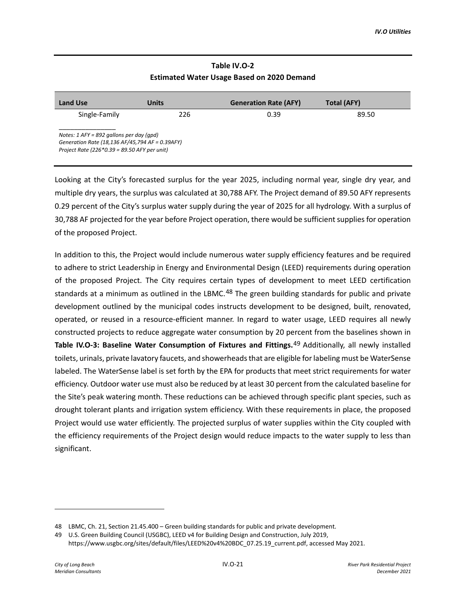# **Table IV.O-2 Estimated Water Usage Based on 2020 Demand**

| <b>Land Use</b>                                                                                                                               | Units | <b>Generation Rate (AFY)</b> | <b>Total (AFY)</b> |
|-----------------------------------------------------------------------------------------------------------------------------------------------|-------|------------------------------|--------------------|
| Single-Family                                                                                                                                 | 226   | 0.39                         | 89.50              |
| Notes: $1$ AFY = 892 gallons per day (qpd)<br>Generation Rate (18,136 AF/45,794 AF = 0.39AFY)<br>Project Rate (226*0.39 = 89.50 AFY per unit) |       |                              |                    |

Looking at the City's forecasted surplus for the year 2025, including normal year, single dry year, and multiple dry years, the surplus was calculated at 30,788 AFY. The Project demand of 89.50 AFY represents 0.29 percent of the City's surplus water supply during the year of 2025 for all hydrology. With a surplus of 30,788 AF projected for the year before Project operation, there would be sufficient suppliesfor operation of the proposed Project.

In addition to this, the Project would include numerous water supply efficiency features and be required to adhere to strict Leadership in Energy and Environmental Design (LEED) requirements during operation of the proposed Project. The City requires certain types of development to meet LEED certification standards at a minimum as outlined in the LBMC.<sup>[48](#page-20-0)</sup> The green building standards for public and private development outlined by the municipal codes instructs development to be designed, built, renovated, operated, or reused in a resource-efficient manner. In regard to water usage, LEED requires all newly constructed projects to reduce aggregate water consumption by 20 percent from the baselines shown in **Table IV.O-3: Baseline Water Consumption of Fixtures and Fittings.**[49](#page-20-1) Additionally, all newly installed toilets, urinals, private lavatory faucets, and showerheads that are eligible for labeling must be WaterSense labeled. The WaterSense label is set forth by the EPA for products that meet strict requirements for water efficiency. Outdoor water use must also be reduced by at least 30 percent from the calculated baseline for the Site's peak watering month. These reductions can be achieved through specific plant species, such as drought tolerant plants and irrigation system efficiency. With these requirements in place, the proposed Project would use water efficiently. The projected surplus of water supplies within the City coupled with the efficiency requirements of the Project design would reduce impacts to the water supply to less than significant.

<span id="page-20-0"></span><sup>48</sup> LBMC, Ch. 21, Section 21.45.400 – Green building standards for public and private development.

<span id="page-20-1"></span><sup>49</sup> U.S. Green Building Council (USGBC), LEED v4 for Building Design and Construction, July 2019, https://www.usgbc.org/sites/default/files/LEED%20v4%20BDC\_07.25.19\_current.pdf, accessed May 2021.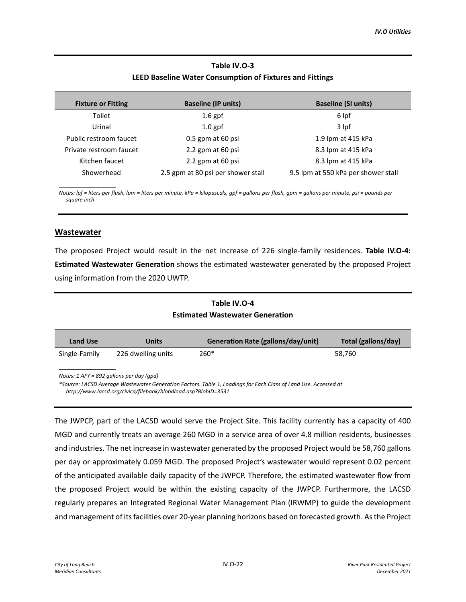## **Table IV.O-3 LEED Baseline Water Consumption of Fixtures and Fittings**

| <b>Fixture or Fitting</b> | <b>Baseline (IP units)</b>         | <b>Baseline (SI units)</b>          |
|---------------------------|------------------------------------|-------------------------------------|
| Toilet                    | $1.6$ gpf                          | 6 lpf                               |
| Urinal                    | $1.0$ gpf                          | 3 lpf                               |
| Public restroom faucet    | $0.5$ gpm at 60 psi                | 1.9 lpm at 415 kPa                  |
| Private restroom faucet   | 2.2 gpm at 60 psi                  | 8.3 lpm at 415 kPa                  |
| Kitchen faucet            | 2.2 gpm at 60 psi                  | 8.3 lpm at 415 kPa                  |
| Showerhead                | 2.5 gpm at 80 psi per shower stall | 9.5 lpm at 550 kPa per shower stall |

*Notes: lpf = liters per flush, lpm = liters per minute, kPa = kilopascals, gpf = gallons per flush, gpm = gallons per minute, psi = pounds per square inch*

### **Wastewater**

\_\_\_\_\_\_\_\_\_\_\_\_\_\_\_

The proposed Project would result in the net increase of 226 single-family residences. **Table IV.O-4: Estimated Wastewater Generation** shows the estimated wastewater generated by the proposed Project using information from the 2020 UWTP.

## **Table IV.O-4 Estimated Wastewater Generation**

| <b>Land Use</b>                                                                                                                                                                                                                 | Units              | Generation Rate (gallons/day/unit) | Total (gallons/day) |  |
|---------------------------------------------------------------------------------------------------------------------------------------------------------------------------------------------------------------------------------|--------------------|------------------------------------|---------------------|--|
| Single-Family                                                                                                                                                                                                                   | 226 dwelling units | $260*$                             | 58,760              |  |
| Notes: $1$ AFY = 892 gallons per day (apd)<br>*Source: LACSD Average Wastewater Generation Factors. Table 1, Loadings for Each Class of Land Use. Accessed at<br>http://www.lacsd.org/civica/filebank/blobdload.asp?BlobID=3531 |                    |                                    |                     |  |

The JWPCP, part of the LACSD would serve the Project Site. This facility currently has a capacity of 400 MGD and currently treats an average 260 MGD in a service area of over 4.8 million residents, businesses and industries. The net increase in wastewater generated by the proposed Project would be 58,760 gallons per day or approximately 0.059 MGD. The proposed Project's wastewater would represent 0.02 percent of the anticipated available daily capacity of the JWPCP. Therefore, the estimated wastewater flow from the proposed Project would be within the existing capacity of the JWPCP. Furthermore, the LACSD regularly prepares an Integrated Regional Water Management Plan (IRWMP) to guide the development and management of its facilities over 20-year planning horizons based on forecasted growth. As the Project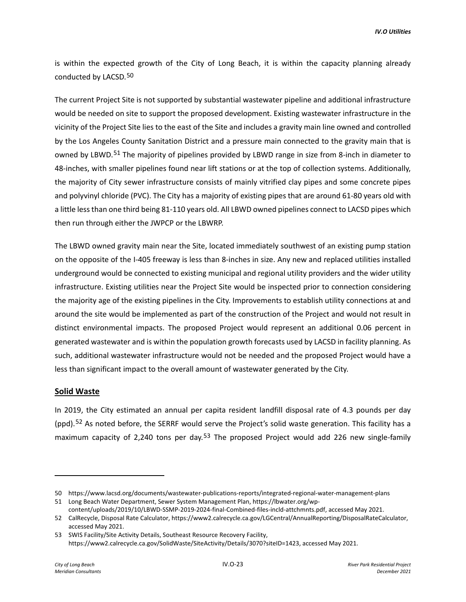is within the expected growth of the City of Long Beach, it is within the capacity planning already conducted by LACSD.[50](#page-22-0)

The current Project Site is not supported by substantial wastewater pipeline and additional infrastructure would be needed on site to support the proposed development. Existing wastewater infrastructure in the vicinity of the Project Site lies to the east of the Site and includes a gravity main line owned and controlled by the Los Angeles County Sanitation District and a pressure main connected to the gravity main that is owned by LBWD.<sup>[51](#page-22-1)</sup> The majority of pipelines provided by LBWD range in size from 8-inch in diameter to 48-inches, with smaller pipelines found near lift stations or at the top of collection systems. Additionally, the majority of City sewer infrastructure consists of mainly vitrified clay pipes and some concrete pipes and polyvinyl chloride (PVC). The City has a majority of existing pipes that are around 61-80 years old with a little less than one third being 81-110 years old. All LBWD owned pipelines connect to LACSD pipes which then run through either the JWPCP or the LBWRP.

The LBWD owned gravity main near the Site, located immediately southwest of an existing pump station on the opposite of the I-405 freeway is less than 8-inches in size. Any new and replaced utilities installed underground would be connected to existing municipal and regional utility providers and the wider utility infrastructure. Existing utilities near the Project Site would be inspected prior to connection considering the majority age of the existing pipelines in the City. Improvements to establish utility connections at and around the site would be implemented as part of the construction of the Project and would not result in distinct environmental impacts. The proposed Project would represent an additional 0.06 percent in generated wastewater and is within the population growth forecasts used by LACSD in facility planning. As such, additional wastewater infrastructure would not be needed and the proposed Project would have a less than significant impact to the overall amount of wastewater generated by the City.

### **Solid Waste**

In 2019, the City estimated an annual per capita resident landfill disposal rate of 4.3 pounds per day (ppd).<sup>[52](#page-22-2)</sup> As noted before, the SERRF would serve the Project's solid waste generation. This facility has a maximum capacity of 2,240 tons per day.<sup>[53](#page-22-3)</sup> The proposed Project would add 226 new single-family

<span id="page-22-0"></span><sup>50</sup> https://www.lacsd.org/documents/wastewater-publications-reports/integrated-regional-water-management-plans

<span id="page-22-1"></span><sup>51</sup> Long Beach Water Department, Sewer System Management Plan, https://lbwater.org/wpcontent/uploads/2019/10/LBWD-SSMP-2019-2024-final-Combined-files-incld-attchmnts.pdf, accessed May 2021.

<span id="page-22-2"></span><sup>52</sup> CalRecycle, Disposal Rate Calculator, https://www2.calrecycle.ca.gov/LGCentral/AnnualReporting/DisposalRateCalculator, accessed May 2021.

<span id="page-22-3"></span><sup>53</sup> SWIS Facility/Site Activity Details, Southeast Resource Recovery Facility, https://www2.calrecycle.ca.gov/SolidWaste/SiteActivity/Details/3070?siteID=1423, accessed May 2021.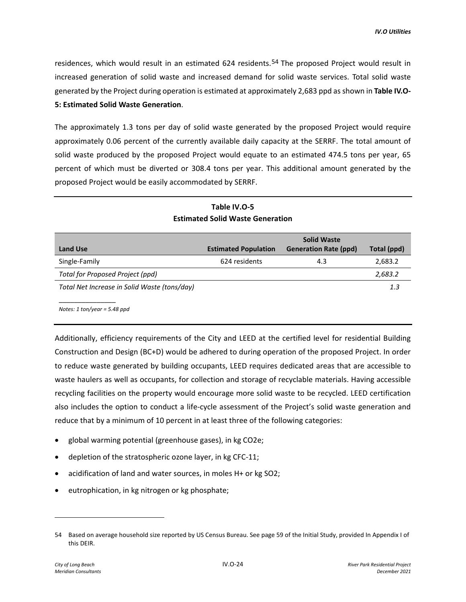residences, which would result in an estimated 624 residents.<sup>[54](#page-23-0)</sup> The proposed Project would result in increased generation of solid waste and increased demand for solid waste services. Total solid waste generated by the Project during operation is estimated at approximately 2,683 ppd as shown in **Table IV.O-5: Estimated Solid Waste Generation**.

The approximately 1.3 tons per day of solid waste generated by the proposed Project would require approximately 0.06 percent of the currently available daily capacity at the SERRF. The total amount of solid waste produced by the proposed Project would equate to an estimated 474.5 tons per year, 65 percent of which must be diverted or 308.4 tons per year. This additional amount generated by the proposed Project would be easily accommodated by SERRF.

|                                              |                             | <b>Solid Waste</b>           |             |
|----------------------------------------------|-----------------------------|------------------------------|-------------|
| <b>Land Use</b>                              | <b>Estimated Population</b> | <b>Generation Rate (ppd)</b> | Total (ppd) |
| Single-Family                                | 624 residents               | 4.3                          | 2,683.2     |
| Total for Proposed Project (ppd)             |                             |                              | 2,683.2     |
| Total Net Increase in Solid Waste (tons/day) |                             |                              | 1.3         |
|                                              |                             |                              |             |

**Table IV.O-5 Estimated Solid Waste Generation** 

*Notes: 1 ton/year = 5.48 ppd*

Additionally, efficiency requirements of the City and LEED at the certified level for residential Building Construction and Design (BC+D) would be adhered to during operation of the proposed Project. In order to reduce waste generated by building occupants, LEED requires dedicated areas that are accessible to waste haulers as well as occupants, for collection and storage of recyclable materials. Having accessible recycling facilities on the property would encourage more solid waste to be recycled. LEED certification also includes the option to conduct a life-cycle assessment of the Project's solid waste generation and reduce that by a minimum of 10 percent in at least three of the following categories:

- global warming potential (greenhouse gases), in kg CO2e;
- depletion of the stratospheric ozone layer, in kg CFC-11;
- acidification of land and water sources, in moles H+ or kg SO2;
- eutrophication, in kg nitrogen or kg phosphate;

<span id="page-23-0"></span><sup>54</sup> Based on average household size reported by US Census Bureau. See page 59 of the Initial Study, provided In Appendix I of this DEIR.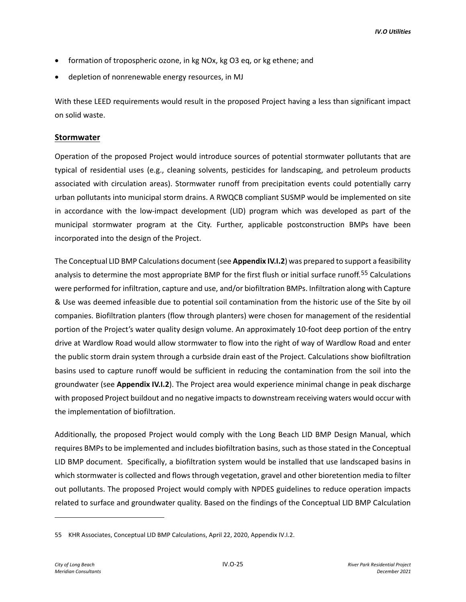- formation of tropospheric ozone, in kg NOx, kg O3 eq, or kg ethene; and
- depletion of nonrenewable energy resources, in MJ

With these LEED requirements would result in the proposed Project having a less than significant impact on solid waste.

### **Stormwater**

Operation of the proposed Project would introduce sources of potential stormwater pollutants that are typical of residential uses (e.g., cleaning solvents, pesticides for landscaping, and petroleum products associated with circulation areas). Stormwater runoff from precipitation events could potentially carry urban pollutants into municipal storm drains. A RWQCB compliant SUSMP would be implemented on site in accordance with the low-impact development (LID) program which was developed as part of the municipal stormwater program at the City. Further, applicable postconstruction BMPs have been incorporated into the design of the Project.

The Conceptual LID BMP Calculations document (see **Appendix IV.I.2**) was prepared to support a feasibility analysis to determine the most appropriate BMP for the first flush or initial surface runoff.[55](#page-24-0) Calculations were performed for infiltration, capture and use, and/or biofiltration BMPs. Infiltration along with Capture & Use was deemed infeasible due to potential soil contamination from the historic use of the Site by oil companies. Biofiltration planters (flow through planters) were chosen for management of the residential portion of the Project's water quality design volume. An approximately 10-foot deep portion of the entry drive at Wardlow Road would allow stormwater to flow into the right of way of Wardlow Road and enter the public storm drain system through a curbside drain east of the Project. Calculations show biofiltration basins used to capture runoff would be sufficient in reducing the contamination from the soil into the groundwater (see **Appendix IV.I.2**). The Project area would experience minimal change in peak discharge with proposed Project buildout and no negative impacts to downstream receiving waters would occur with the implementation of biofiltration.

Additionally, the proposed Project would comply with the Long Beach LID BMP Design Manual, which requires BMPs to be implemented and includes biofiltration basins, such as those stated in the Conceptual LID BMP document. Specifically, a biofiltration system would be installed that use landscaped basins in which stormwater is collected and flows through vegetation, gravel and other bioretention media to filter out pollutants. The proposed Project would comply with NPDES guidelines to reduce operation impacts related to surface and groundwater quality. Based on the findings of the Conceptual LID BMP Calculation

<span id="page-24-0"></span><sup>55</sup> KHR Associates, Conceptual LID BMP Calculations, April 22, 2020, Appendix IV.I.2.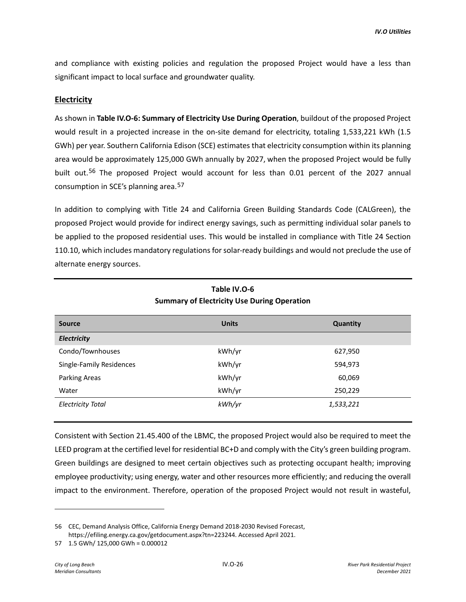and compliance with existing policies and regulation the proposed Project would have a less than significant impact to local surface and groundwater quality.

### **Electricity**

As shown in **Table IV.O-6: Summary of Electricity Use During Operation**, buildout of the proposed Project would result in a projected increase in the on-site demand for electricity, totaling 1,533,221 kWh (1.5 GWh) per year. Southern California Edison (SCE) estimates that electricity consumption within its planning area would be approximately 125,000 GWh annually by 2027, when the proposed Project would be fully built out.<sup>[56](#page-25-0)</sup> The proposed Project would account for less than 0.01 percent of the 2027 annual consumption in SCE's planning area.[57](#page-25-1)

In addition to complying with Title 24 and California Green Building Standards Code (CALGreen), the proposed Project would provide for indirect energy savings, such as permitting individual solar panels to be applied to the proposed residential uses. This would be installed in compliance with Title 24 Section 110.10, which includes mandatory regulations for solar-ready buildings and would not preclude the use of alternate energy sources.

| <b>Units</b> | Quantity  |
|--------------|-----------|
|              |           |
| kWh/yr       | 627,950   |
| kWh/yr       | 594,973   |
| kWh/yr       | 60,069    |
| kWh/yr       | 250,229   |
| kWh/yr       | 1,533,221 |
|              |           |

# **Table IV.O-6 Summary of Electricity Use During Operation**

Consistent with Section 21.45.400 of the LBMC, the proposed Project would also be required to meet the LEED program at the certified level for residential BC+D and comply with the City's green building program. Green buildings are designed to meet certain objectives such as protecting occupant health; improving employee productivity; using energy, water and other resources more efficiently; and reducing the overall impact to the environment. Therefore, operation of the proposed Project would not result in wasteful,

<span id="page-25-0"></span><sup>56</sup> CEC, Demand Analysis Office, California Energy Demand 2018-2030 Revised Forecast, https://efiling.energy.ca.gov/getdocument.aspx?tn=223244. Accessed April 2021.

<span id="page-25-1"></span><sup>57 1.5</sup> GWh/ 125,000 GWh = 0.000012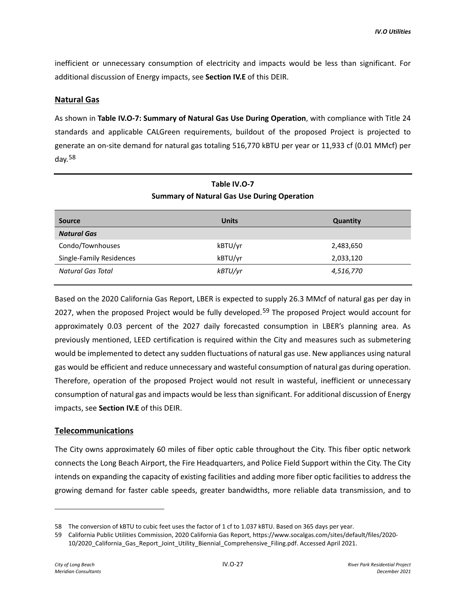inefficient or unnecessary consumption of electricity and impacts would be less than significant. For additional discussion of Energy impacts, see **Section IV.E** of this DEIR.

### **Natural Gas**

As shown in **Table IV.O-7: Summary of Natural Gas Use During Operation**, with compliance with Title 24 standards and applicable CALGreen requirements, buildout of the proposed Project is projected to generate an on-site demand for natural gas totaling 516,770 kBTU per year or 11,933 cf (0.01 MMcf) per day.[58](#page-26-0)

| <b>Source</b>            | <b>Units</b> | Quantity  |
|--------------------------|--------------|-----------|
| <b>Natural Gas</b>       |              |           |
| Condo/Townhouses         | kBTU/yr      | 2,483,650 |
| Single-Family Residences | kBTU/yr      | 2,033,120 |
| Natural Gas Total        | kBTU/yr      | 4,516,770 |

# **Table IV.O-7 Summary of Natural Gas Use During Operation**

Based on the 2020 California Gas Report, LBER is expected to supply 26.3 MMcf of natural gas per day in 2027, when the proposed Project would be fully developed.<sup>[59](#page-26-1)</sup> The proposed Project would account for approximately 0.03 percent of the 2027 daily forecasted consumption in LBER's planning area. As previously mentioned, LEED certification is required within the City and measures such as submetering would be implemented to detect any sudden fluctuations of natural gas use. New appliances using natural gas would be efficient and reduce unnecessary and wasteful consumption of natural gas during operation. Therefore, operation of the proposed Project would not result in wasteful, inefficient or unnecessary consumption of natural gas and impacts would be less than significant. For additional discussion of Energy impacts, see **Section IV.E** of this DEIR.

## **Telecommunications**

The City owns approximately 60 miles of fiber optic cable throughout the City. This fiber optic network connects the Long Beach Airport, the Fire Headquarters, and Police Field Support within the City. The City intends on expanding the capacity of existing facilities and adding more fiber optic facilities to address the growing demand for faster cable speeds, greater bandwidths, more reliable data transmission, and to

<span id="page-26-0"></span><sup>58</sup> The conversion of kBTU to cubic feet uses the factor of 1 cf to 1.037 kBTU. Based on 365 days per year.

<span id="page-26-1"></span><sup>59</sup> California Public Utilities Commission, 2020 California Gas Report, https://www.socalgas.com/sites/default/files/2020- 10/2020\_California\_Gas\_Report\_Joint\_Utility\_Biennial\_Comprehensive\_Filing.pdf. Accessed April 2021.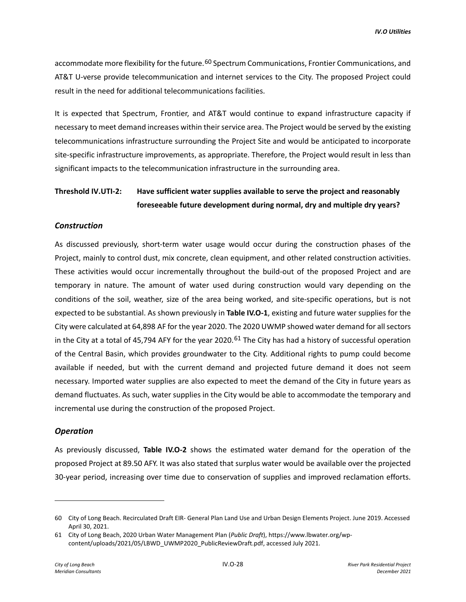accommodate more flexibility for the future.<sup>[60](#page-27-0)</sup> Spectrum Communications, Frontier Communications, and AT&T U-verse provide telecommunication and internet services to the City. The proposed Project could result in the need for additional telecommunications facilities.

It is expected that Spectrum, Frontier, and AT&T would continue to expand infrastructure capacity if necessary to meet demand increases within their service area. The Project would be served by the existing telecommunications infrastructure surrounding the Project Site and would be anticipated to incorporate site-specific infrastructure improvements, as appropriate. Therefore, the Project would result in less than significant impacts to the telecommunication infrastructure in the surrounding area.

# **Threshold IV.UTI-2: Have sufficient water supplies available to serve the project and reasonably foreseeable future development during normal, dry and multiple dry years?**

#### *Construction*

As discussed previously, short-term water usage would occur during the construction phases of the Project, mainly to control dust, mix concrete, clean equipment, and other related construction activities. These activities would occur incrementally throughout the build-out of the proposed Project and are temporary in nature. The amount of water used during construction would vary depending on the conditions of the soil, weather, size of the area being worked, and site-specific operations, but is not expected to be substantial. As shown previously in **Table IV.O-1**, existing and future water supplies for the City were calculated at 64,898 AF for the year 2020. The 2020 UWMP showed water demand for all sectors in the City at a total of 45,794 AFY for the year 2020.<sup>[61](#page-27-1)</sup> The City has had a history of successful operation of the Central Basin, which provides groundwater to the City. Additional rights to pump could become available if needed, but with the current demand and projected future demand it does not seem necessary. Imported water supplies are also expected to meet the demand of the City in future years as demand fluctuates. As such, water supplies in the City would be able to accommodate the temporary and incremental use during the construction of the proposed Project.

#### *Operation*

As previously discussed, **Table IV.O-2** shows the estimated water demand for the operation of the proposed Project at 89.50 AFY. It was also stated that surplus water would be available over the projected 30-year period, increasing over time due to conservation of supplies and improved reclamation efforts.

<span id="page-27-0"></span><sup>60</sup> City of Long Beach. Recirculated Draft EIR- General Plan Land Use and Urban Design Elements Project. June 2019. Accessed April 30, 2021.

<span id="page-27-1"></span><sup>61</sup> City of Long Beach, 2020 Urban Water Management Plan (*Public Draft*), https://www.lbwater.org/wpcontent/uploads/2021/05/LBWD\_UWMP2020\_PublicReviewDraft.pdf, accessed July 2021.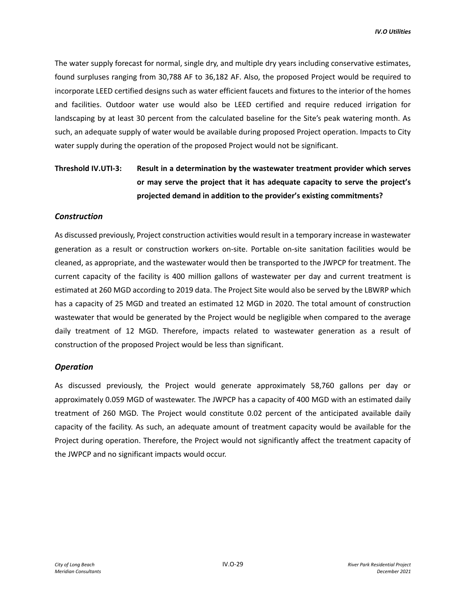The water supply forecast for normal, single dry, and multiple dry years including conservative estimates, found surpluses ranging from 30,788 AF to 36,182 AF. Also, the proposed Project would be required to incorporate LEED certified designs such as water efficient faucets and fixtures to the interior of the homes and facilities. Outdoor water use would also be LEED certified and require reduced irrigation for landscaping by at least 30 percent from the calculated baseline for the Site's peak watering month. As such, an adequate supply of water would be available during proposed Project operation. Impacts to City water supply during the operation of the proposed Project would not be significant.

# **Threshold IV.UTI-3: Result in a determination by the wastewater treatment provider which serves or may serve the project that it has adequate capacity to serve the project's projected demand in addition to the provider's existing commitments?**

### *Construction*

As discussed previously, Project construction activities would result in a temporary increase in wastewater generation as a result or construction workers on-site. Portable on-site sanitation facilities would be cleaned, as appropriate, and the wastewater would then be transported to the JWPCP for treatment. The current capacity of the facility is 400 million gallons of wastewater per day and current treatment is estimated at 260 MGD according to 2019 data. The Project Site would also be served by the LBWRP which has a capacity of 25 MGD and treated an estimated 12 MGD in 2020. The total amount of construction wastewater that would be generated by the Project would be negligible when compared to the average daily treatment of 12 MGD. Therefore, impacts related to wastewater generation as a result of construction of the proposed Project would be less than significant.

#### *Operation*

As discussed previously, the Project would generate approximately 58,760 gallons per day or approximately 0.059 MGD of wastewater. The JWPCP has a capacity of 400 MGD with an estimated daily treatment of 260 MGD. The Project would constitute 0.02 percent of the anticipated available daily capacity of the facility. As such, an adequate amount of treatment capacity would be available for the Project during operation. Therefore, the Project would not significantly affect the treatment capacity of the JWPCP and no significant impacts would occur.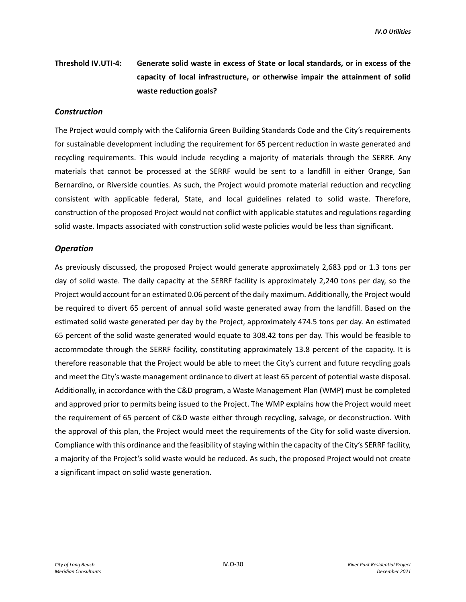# **Threshold IV.UTI-4: Generate solid waste in excess of State or local standards, or in excess of the capacity of local infrastructure, or otherwise impair the attainment of solid waste reduction goals?**

#### *Construction*

The Project would comply with the California Green Building Standards Code and the City's requirements for sustainable development including the requirement for 65 percent reduction in waste generated and recycling requirements. This would include recycling a majority of materials through the SERRF. Any materials that cannot be processed at the SERRF would be sent to a landfill in either Orange, San Bernardino, or Riverside counties. As such, the Project would promote material reduction and recycling consistent with applicable federal, State, and local guidelines related to solid waste. Therefore, construction of the proposed Project would not conflict with applicable statutes and regulations regarding solid waste. Impacts associated with construction solid waste policies would be less than significant.

#### *Operation*

As previously discussed, the proposed Project would generate approximately 2,683 ppd or 1.3 tons per day of solid waste. The daily capacity at the SERRF facility is approximately 2,240 tons per day, so the Project would account for an estimated 0.06 percent of the daily maximum. Additionally, the Project would be required to divert 65 percent of annual solid waste generated away from the landfill. Based on the estimated solid waste generated per day by the Project, approximately 474.5 tons per day. An estimated 65 percent of the solid waste generated would equate to 308.42 tons per day. This would be feasible to accommodate through the SERRF facility, constituting approximately 13.8 percent of the capacity. It is therefore reasonable that the Project would be able to meet the City's current and future recycling goals and meet the City's waste management ordinance to divert at least 65 percent of potential waste disposal. Additionally, in accordance with the C&D program, a Waste Management Plan (WMP) must be completed and approved prior to permits being issued to the Project. The WMP explains how the Project would meet the requirement of 65 percent of C&D waste either through recycling, salvage, or deconstruction. With the approval of this plan, the Project would meet the requirements of the City for solid waste diversion. Compliance with this ordinance and the feasibility of staying within the capacity of the City's SERRF facility, a majority of the Project's solid waste would be reduced. As such, the proposed Project would not create a significant impact on solid waste generation.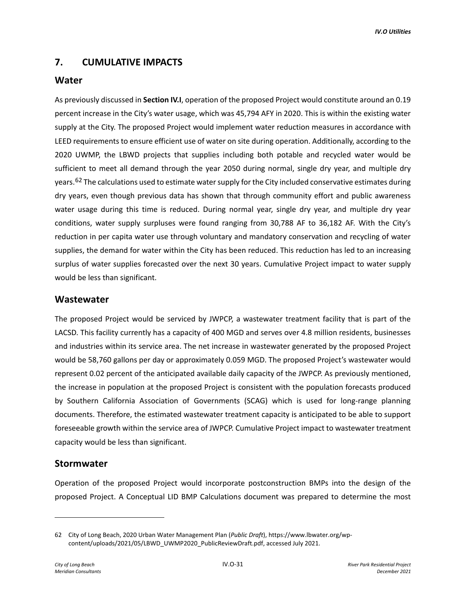# **7. CUMULATIVE IMPACTS**

# **Water**

As previously discussed in **Section IV.I**, operation of the proposed Project would constitute around an 0.19 percent increase in the City's water usage, which was 45,794 AFY in 2020. This is within the existing water supply at the City. The proposed Project would implement water reduction measures in accordance with LEED requirements to ensure efficient use of water on site during operation. Additionally, according to the 2020 UWMP, the LBWD projects that supplies including both potable and recycled water would be sufficient to meet all demand through the year 2050 during normal, single dry year, and multiple dry years.<sup>[62](#page-30-0)</sup> The calculations used to estimate water supply for the City included conservative estimates during dry years, even though previous data has shown that through community effort and public awareness water usage during this time is reduced. During normal year, single dry year, and multiple dry year conditions, water supply surpluses were found ranging from 30,788 AF to 36,182 AF. With the City's reduction in per capita water use through voluntary and mandatory conservation and recycling of water supplies, the demand for water within the City has been reduced. This reduction has led to an increasing surplus of water supplies forecasted over the next 30 years. Cumulative Project impact to water supply would be less than significant.

# **Wastewater**

The proposed Project would be serviced by JWPCP, a wastewater treatment facility that is part of the LACSD. This facility currently has a capacity of 400 MGD and serves over 4.8 million residents, businesses and industries within its service area. The net increase in wastewater generated by the proposed Project would be 58,760 gallons per day or approximately 0.059 MGD. The proposed Project's wastewater would represent 0.02 percent of the anticipated available daily capacity of the JWPCP. As previously mentioned, the increase in population at the proposed Project is consistent with the population forecasts produced by Southern California Association of Governments (SCAG) which is used for long-range planning documents. Therefore, the estimated wastewater treatment capacity is anticipated to be able to support foreseeable growth within the service area of JWPCP. Cumulative Project impact to wastewater treatment capacity would be less than significant.

# **Stormwater**

Operation of the proposed Project would incorporate postconstruction BMPs into the design of the proposed Project. A Conceptual LID BMP Calculations document was prepared to determine the most

<span id="page-30-0"></span><sup>62</sup> City of Long Beach, 2020 Urban Water Management Plan (*Public Draft*), https://www.lbwater.org/wpcontent/uploads/2021/05/LBWD\_UWMP2020\_PublicReviewDraft.pdf, accessed July 2021.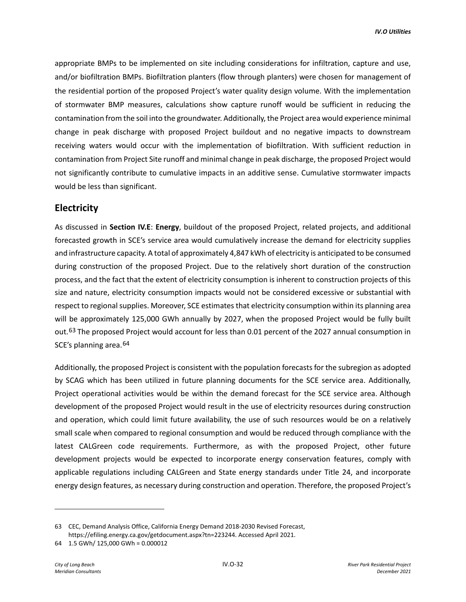appropriate BMPs to be implemented on site including considerations for infiltration, capture and use, and/or biofiltration BMPs. Biofiltration planters (flow through planters) were chosen for management of the residential portion of the proposed Project's water quality design volume. With the implementation of stormwater BMP measures, calculations show capture runoff would be sufficient in reducing the contamination from the soil into the groundwater. Additionally, the Project area would experience minimal change in peak discharge with proposed Project buildout and no negative impacts to downstream receiving waters would occur with the implementation of biofiltration. With sufficient reduction in contamination from Project Site runoff and minimal change in peak discharge, the proposed Project would not significantly contribute to cumulative impacts in an additive sense. Cumulative stormwater impacts would be less than significant.

# **Electricity**

As discussed in **Section IV.E**: **Energy**, buildout of the proposed Project, related projects, and additional forecasted growth in SCE's service area would cumulatively increase the demand for electricity supplies and infrastructure capacity. A total of approximately 4,847 kWh of electricity is anticipated to be consumed during construction of the proposed Project. Due to the relatively short duration of the construction process, and the fact that the extent of electricity consumption is inherent to construction projects of this size and nature, electricity consumption impacts would not be considered excessive or substantial with respect to regional supplies. Moreover, SCE estimates that electricity consumption within its planning area will be approximately 125,000 GWh annually by 2027, when the proposed Project would be fully built out.<sup>[63](#page-31-0)</sup> The proposed Project would account for less than 0.01 percent of the 2027 annual consumption in SCE's planning area.<sup>[64](#page-31-1)</sup>

Additionally, the proposed Project is consistent with the population forecasts for the subregion as adopted by SCAG which has been utilized in future planning documents for the SCE service area. Additionally, Project operational activities would be within the demand forecast for the SCE service area. Although development of the proposed Project would result in the use of electricity resources during construction and operation, which could limit future availability, the use of such resources would be on a relatively small scale when compared to regional consumption and would be reduced through compliance with the latest CALGreen code requirements. Furthermore, as with the proposed Project, other future development projects would be expected to incorporate energy conservation features, comply with applicable regulations including CALGreen and State energy standards under Title 24, and incorporate energy design features, as necessary during construction and operation. Therefore, the proposed Project's

<span id="page-31-0"></span><sup>63</sup> CEC, Demand Analysis Office, California Energy Demand 2018-2030 Revised Forecast, https://efiling.energy.ca.gov/getdocument.aspx?tn=223244. Accessed April 2021.

<span id="page-31-1"></span><sup>64 1.5</sup> GWh/ 125,000 GWh = 0.000012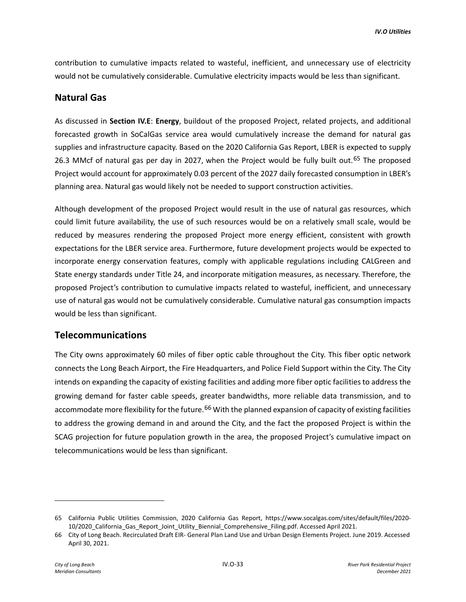contribution to cumulative impacts related to wasteful, inefficient, and unnecessary use of electricity would not be cumulatively considerable. Cumulative electricity impacts would be less than significant.

# **Natural Gas**

As discussed in **Section IV.E**: **Energy**, buildout of the proposed Project, related projects, and additional forecasted growth in SoCalGas service area would cumulatively increase the demand for natural gas supplies and infrastructure capacity. Based on the 2020 California Gas Report, LBER is expected to supply 26.3 MMcf of natural gas per day in 2027, when the Project would be fully built out.<sup>[65](#page-32-0)</sup> The proposed Project would account for approximately 0.03 percent of the 2027 daily forecasted consumption in LBER's planning area. Natural gas would likely not be needed to support construction activities.

Although development of the proposed Project would result in the use of natural gas resources, which could limit future availability, the use of such resources would be on a relatively small scale, would be reduced by measures rendering the proposed Project more energy efficient, consistent with growth expectations for the LBER service area. Furthermore, future development projects would be expected to incorporate energy conservation features, comply with applicable regulations including CALGreen and State energy standards under Title 24, and incorporate mitigation measures, as necessary. Therefore, the proposed Project's contribution to cumulative impacts related to wasteful, inefficient, and unnecessary use of natural gas would not be cumulatively considerable. Cumulative natural gas consumption impacts would be less than significant.

# **Telecommunications**

The City owns approximately 60 miles of fiber optic cable throughout the City. This fiber optic network connects the Long Beach Airport, the Fire Headquarters, and Police Field Support within the City. The City intends on expanding the capacity of existing facilities and adding more fiber optic facilities to address the growing demand for faster cable speeds, greater bandwidths, more reliable data transmission, and to accommodate more flexibility for the future.<sup>[66](#page-32-1)</sup> With the planned expansion of capacity of existing facilities to address the growing demand in and around the City, and the fact the proposed Project is within the SCAG projection for future population growth in the area, the proposed Project's cumulative impact on telecommunications would be less than significant.

<span id="page-32-0"></span><sup>65</sup> California Public Utilities Commission, 2020 California Gas Report, https://www.socalgas.com/sites/default/files/2020- 10/2020\_California\_Gas\_Report\_Joint\_Utility\_Biennial\_Comprehensive\_Filing.pdf. Accessed April 2021.

<span id="page-32-1"></span><sup>66</sup> City of Long Beach. Recirculated Draft EIR- General Plan Land Use and Urban Design Elements Project. June 2019. Accessed April 30, 2021.